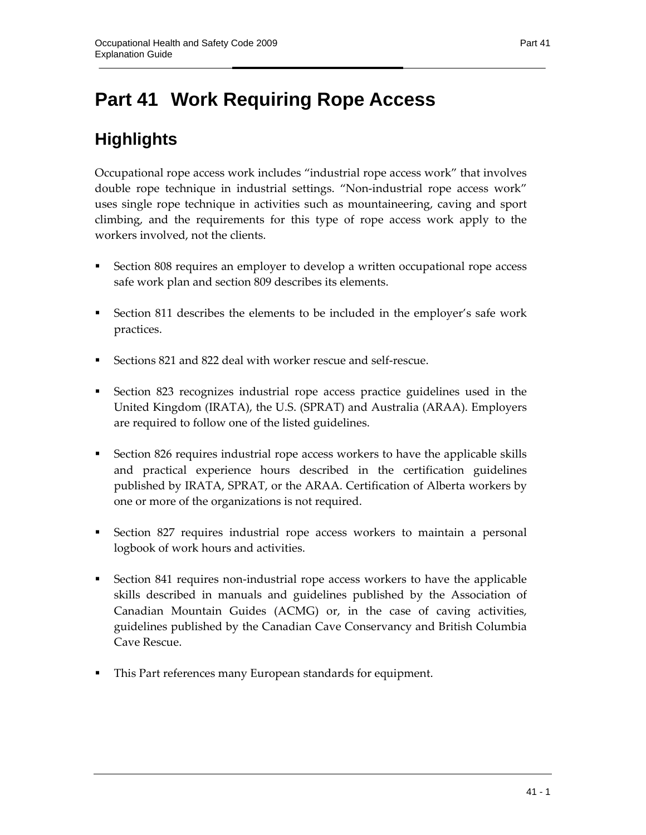# **Part 41 Work Requiring Rope Access**

# **Highlights**

Occupational rope access work includes "industrial rope access work" that involves double rope technique in industrial settings. "Non-industrial rope access work" uses single rope technique in activities such as mountaineering, caving and sport climbing, and the requirements for this type of rope access work apply to the workers involved, not the clients.

- Section 808 requires an employer to develop a written occupational rope access safe work plan and section 809 describes its elements.
- Section 811 describes the elements to be included in the employer's safe work practices.
- Sections 821 and 822 deal with worker rescue and self-rescue.
- Section 823 recognizes industrial rope access practice guidelines used in the United Kingdom (IRATA), the U.S. (SPRAT) and Australia (ARAA). Employers are required to follow one of the listed guidelines.
- Section 826 requires industrial rope access workers to have the applicable skills and practical experience hours described in the certification guidelines published by IRATA, SPRAT, or the ARAA. Certification of Alberta workers by one or more of the organizations is not required.
- Section 827 requires industrial rope access workers to maintain a personal logbook of work hours and activities.
- Section 841 requires non-industrial rope access workers to have the applicable skills described in manuals and guidelines published by the Association of Canadian Mountain Guides (ACMG) or, in the case of caving activities, guidelines published by the Canadian Cave Conservancy and British Columbia Cave Rescue.
- This Part references many European standards for equipment.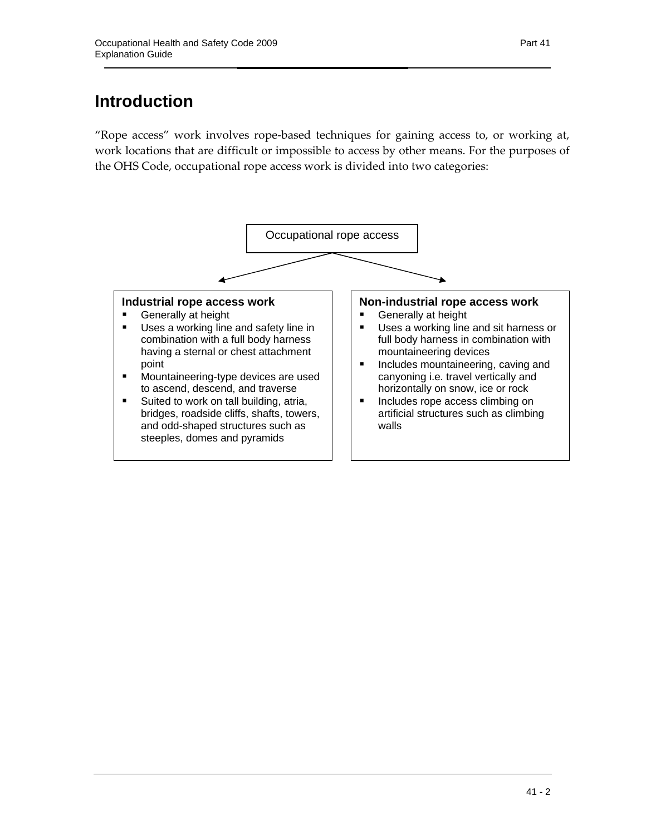# **Introduction**

"Rope access" work involves rope-based techniques for gaining access to, or working at, work locations that are difficult or impossible to access by other means. For the purposes of the OHS Code, occupational rope access work is divided into two categories:

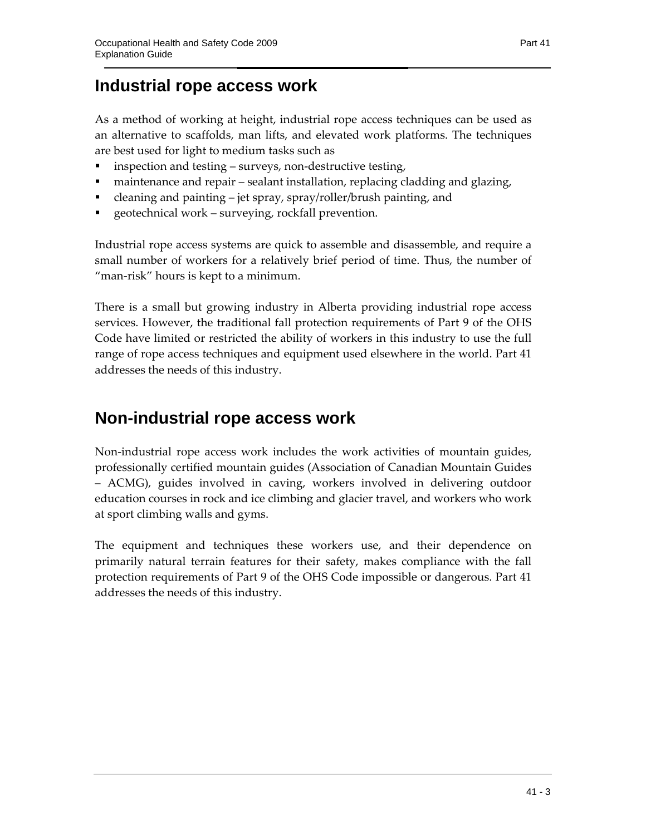# **Industrial rope access work**

As a method of working at height, industrial rope access techniques can be used as an alternative to scaffolds, man lifts, and elevated work platforms. The techniques are best used for light to medium tasks such as

- inspection and testing surveys, non-destructive testing,
- maintenance and repair sealant installation, replacing cladding and glazing,
- cleaning and painting jet spray, spray/roller/brush painting, and
- geotechnical work surveying, rockfall prevention.

Industrial rope access systems are quick to assemble and disassemble, and require a small number of workers for a relatively brief period of time. Thus, the number of "man-risk" hours is kept to a minimum.

There is a small but growing industry in Alberta providing industrial rope access services. However, the traditional fall protection requirements of Part 9 of the OHS Code have limited or restricted the ability of workers in this industry to use the full range of rope access techniques and equipment used elsewhere in the world. Part 41 addresses the needs of this industry.

# **Non-industrial rope access work**

Non-industrial rope access work includes the work activities of mountain guides, professionally certified mountain guides (Association of Canadian Mountain Guides – ACMG), guides involved in caving, workers involved in delivering outdoor education courses in rock and ice climbing and glacier travel, and workers who work at sport climbing walls and gyms.

The equipment and techniques these workers use, and their dependence on primarily natural terrain features for their safety, makes compliance with the fall protection requirements of Part 9 of the OHS Code impossible or dangerous. Part 41 addresses the needs of this industry.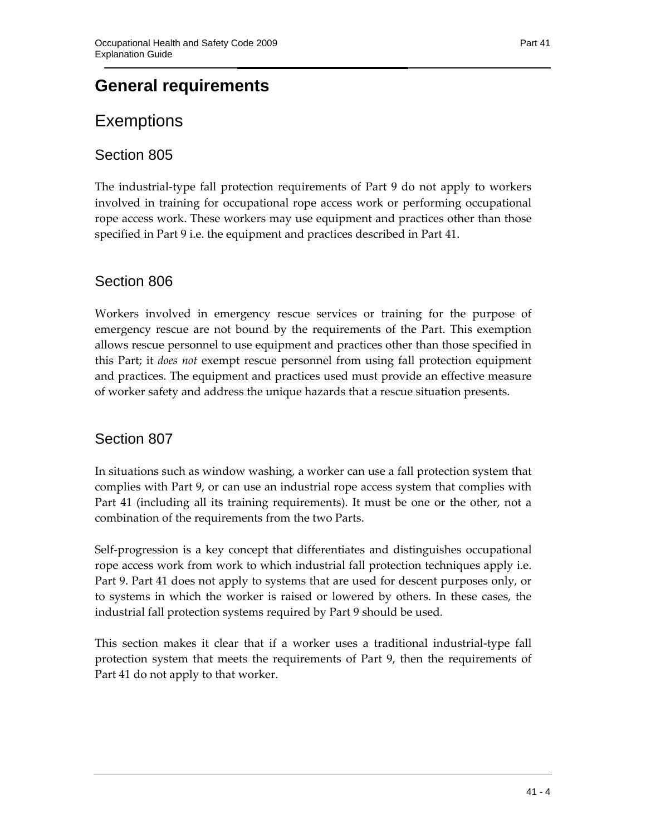## **General requirements**

## **Exemptions**

### Section 805

The industrial-type fall protection requirements of Part 9 do not apply to workers involved in training for occupational rope access work or performing occupational rope access work. These workers may use equipment and practices other than those specified in Part 9 i.e. the equipment and practices described in Part 41.

### Section 806

Workers involved in emergency rescue services or training for the purpose of emergency rescue are not bound by the requirements of the Part. This exemption allows rescue personnel to use equipment and practices other than those specified in this Part; it *does not* exempt rescue personnel from using fall protection equipment and practices. The equipment and practices used must provide an effective measure of worker safety and address the unique hazards that a rescue situation presents.

### Section 807

In situations such as window washing, a worker can use a fall protection system that complies with Part 9, or can use an industrial rope access system that complies with Part 41 (including all its training requirements). It must be one or the other, not a combination of the requirements from the two Parts.

Self-progression is a key concept that differentiates and distinguishes occupational rope access work from work to which industrial fall protection techniques apply i.e. Part 9. Part 41 does not apply to systems that are used for descent purposes only, or to systems in which the worker is raised or lowered by others. In these cases, the industrial fall protection systems required by Part 9 should be used.

This section makes it clear that if a worker uses a traditional industrial-type fall protection system that meets the requirements of Part 9, then the requirements of Part 41 do not apply to that worker.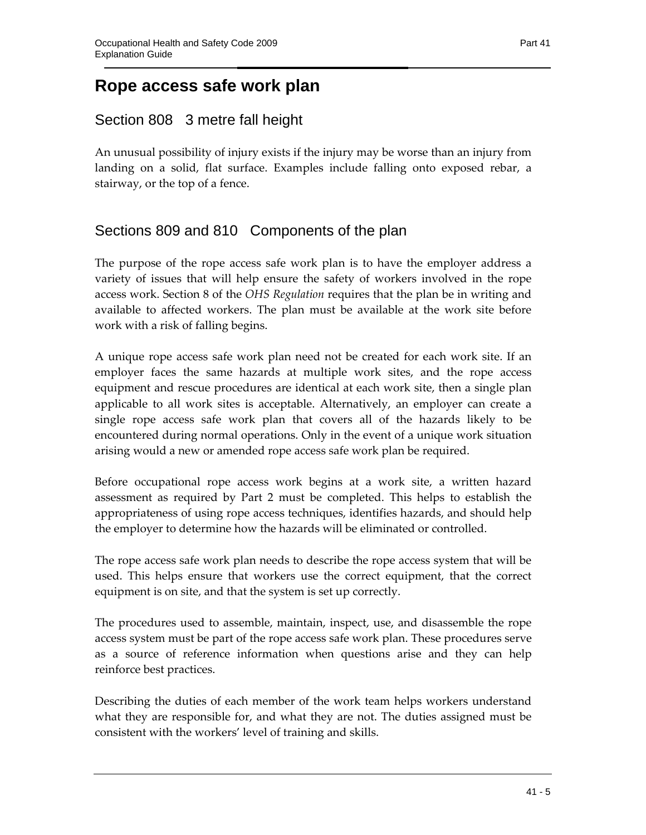## **Rope access safe work plan**

### Section 808 3 metre fall height

An unusual possibility of injury exists if the injury may be worse than an injury from landing on a solid, flat surface. Examples include falling onto exposed rebar, a stairway, or the top of a fence.

### Sections 809 and 810 Components of the plan

The purpose of the rope access safe work plan is to have the employer address a variety of issues that will help ensure the safety of workers involved in the rope access work. Section 8 of the *OHS Regulation* requires that the plan be in writing and available to affected workers. The plan must be available at the work site before work with a risk of falling begins.

A unique rope access safe work plan need not be created for each work site. If an employer faces the same hazards at multiple work sites, and the rope access equipment and rescue procedures are identical at each work site, then a single plan applicable to all work sites is acceptable. Alternatively, an employer can create a single rope access safe work plan that covers all of the hazards likely to be encountered during normal operations. Only in the event of a unique work situation arising would a new or amended rope access safe work plan be required.

Before occupational rope access work begins at a work site, a written hazard assessment as required by Part 2 must be completed. This helps to establish the appropriateness of using rope access techniques, identifies hazards, and should help the employer to determine how the hazards will be eliminated or controlled.

The rope access safe work plan needs to describe the rope access system that will be used. This helps ensure that workers use the correct equipment, that the correct equipment is on site, and that the system is set up correctly.

The procedures used to assemble, maintain, inspect, use, and disassemble the rope access system must be part of the rope access safe work plan. These procedures serve as a source of reference information when questions arise and they can help reinforce best practices.

Describing the duties of each member of the work team helps workers understand what they are responsible for, and what they are not. The duties assigned must be consistent with the workers' level of training and skills.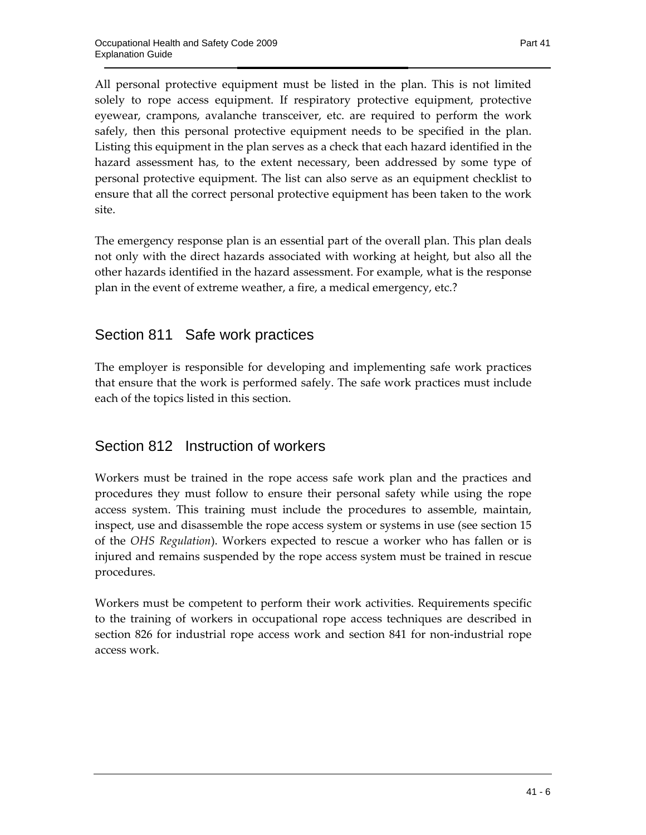All personal protective equipment must be listed in the plan. This is not limited solely to rope access equipment. If respiratory protective equipment, protective eyewear, crampons, avalanche transceiver, etc. are required to perform the work safely, then this personal protective equipment needs to be specified in the plan. Listing this equipment in the plan serves as a check that each hazard identified in the hazard assessment has, to the extent necessary, been addressed by some type of personal protective equipment. The list can also serve as an equipment checklist to ensure that all the correct personal protective equipment has been taken to the work site.

The emergency response plan is an essential part of the overall plan. This plan deals not only with the direct hazards associated with working at height, but also all the other hazards identified in the hazard assessment. For example, what is the response plan in the event of extreme weather, a fire, a medical emergency, etc.?

### Section 811 Safe work practices

The employer is responsible for developing and implementing safe work practices that ensure that the work is performed safely. The safe work practices must include each of the topics listed in this section.

### Section 812 Instruction of workers

Workers must be trained in the rope access safe work plan and the practices and procedures they must follow to ensure their personal safety while using the rope access system. This training must include the procedures to assemble, maintain, inspect, use and disassemble the rope access system or systems in use (see section 15 of the *OHS Regulation*). Workers expected to rescue a worker who has fallen or is injured and remains suspended by the rope access system must be trained in rescue procedures.

Workers must be competent to perform their work activities. Requirements specific to the training of workers in occupational rope access techniques are described in section 826 for industrial rope access work and section 841 for non-industrial rope access work.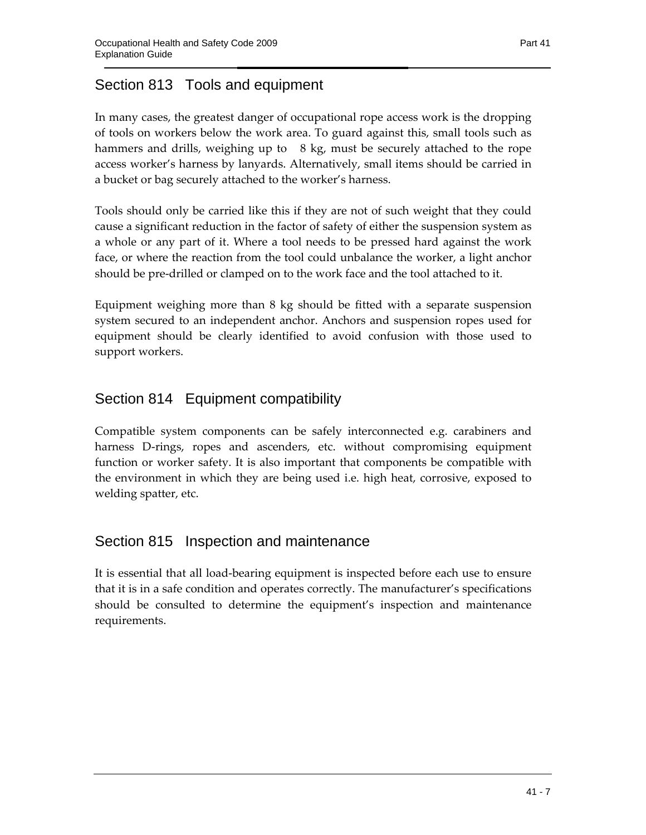## Section 813 Tools and equipment

In many cases, the greatest danger of occupational rope access work is the dropping of tools on workers below the work area. To guard against this, small tools such as hammers and drills, weighing up to 8 kg, must be securely attached to the rope access worker's harness by lanyards. Alternatively, small items should be carried in a bucket or bag securely attached to the worker's harness.

Tools should only be carried like this if they are not of such weight that they could cause a significant reduction in the factor of safety of either the suspension system as a whole or any part of it. Where a tool needs to be pressed hard against the work face, or where the reaction from the tool could unbalance the worker, a light anchor should be pre-drilled or clamped on to the work face and the tool attached to it.

Equipment weighing more than 8 kg should be fitted with a separate suspension system secured to an independent anchor. Anchors and suspension ropes used for equipment should be clearly identified to avoid confusion with those used to support workers.

## Section 814 Equipment compatibility

Compatible system components can be safely interconnected e.g. carabiners and harness D-rings, ropes and ascenders, etc. without compromising equipment function or worker safety. It is also important that components be compatible with the environment in which they are being used i.e. high heat, corrosive, exposed to welding spatter, etc.

### Section 815 Inspection and maintenance

It is essential that all load-bearing equipment is inspected before each use to ensure that it is in a safe condition and operates correctly. The manufacturer's specifications should be consulted to determine the equipment's inspection and maintenance requirements.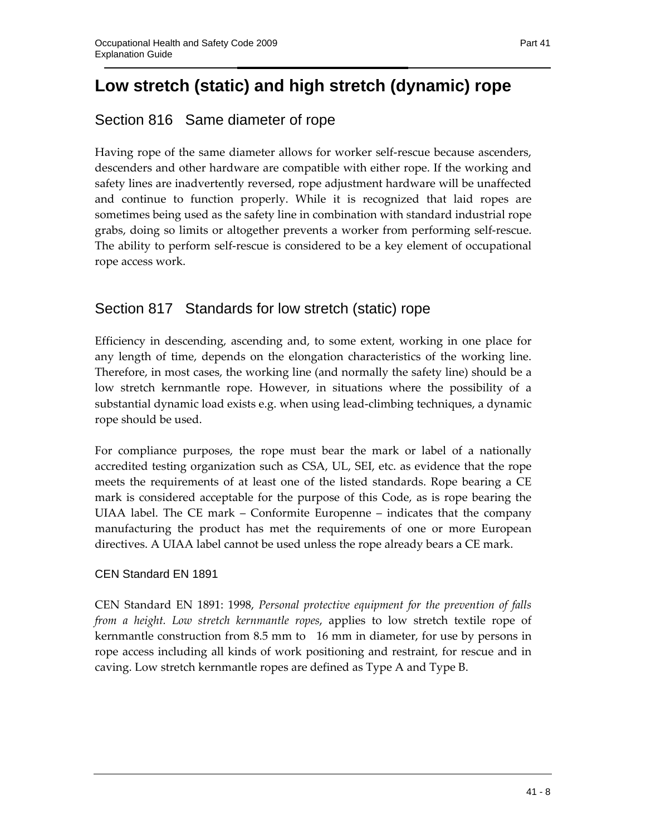# **Low stretch (static) and high stretch (dynamic) rope**

## Section 816 Same diameter of rope

Having rope of the same diameter allows for worker self-rescue because ascenders, descenders and other hardware are compatible with either rope. If the working and safety lines are inadvertently reversed, rope adjustment hardware will be unaffected and continue to function properly. While it is recognized that laid ropes are sometimes being used as the safety line in combination with standard industrial rope grabs, doing so limits or altogether prevents a worker from performing self-rescue. The ability to perform self-rescue is considered to be a key element of occupational rope access work.

### Section 817 Standards for low stretch (static) rope

Efficiency in descending, ascending and, to some extent, working in one place for any length of time, depends on the elongation characteristics of the working line. Therefore, in most cases, the working line (and normally the safety line) should be a low stretch kernmantle rope. However, in situations where the possibility of a substantial dynamic load exists e.g. when using lead-climbing techniques, a dynamic rope should be used.

For compliance purposes, the rope must bear the mark or label of a nationally accredited testing organization such as CSA, UL, SEI, etc. as evidence that the rope meets the requirements of at least one of the listed standards. Rope bearing a CE mark is considered acceptable for the purpose of this Code, as is rope bearing the UIAA label. The CE mark – Conformite Europenne – indicates that the company manufacturing the product has met the requirements of one or more European directives. A UIAA label cannot be used unless the rope already bears a CE mark.

#### CEN Standard EN 1891

CEN Standard EN 1891: 1998, *Personal protective equipment for the prevention of falls from a height. Low stretch kernmantle ropes*, applies to low stretch textile rope of kernmantle construction from 8.5 mm to 16 mm in diameter, for use by persons in rope access including all kinds of work positioning and restraint, for rescue and in caving. Low stretch kernmantle ropes are defined as Type A and Type B.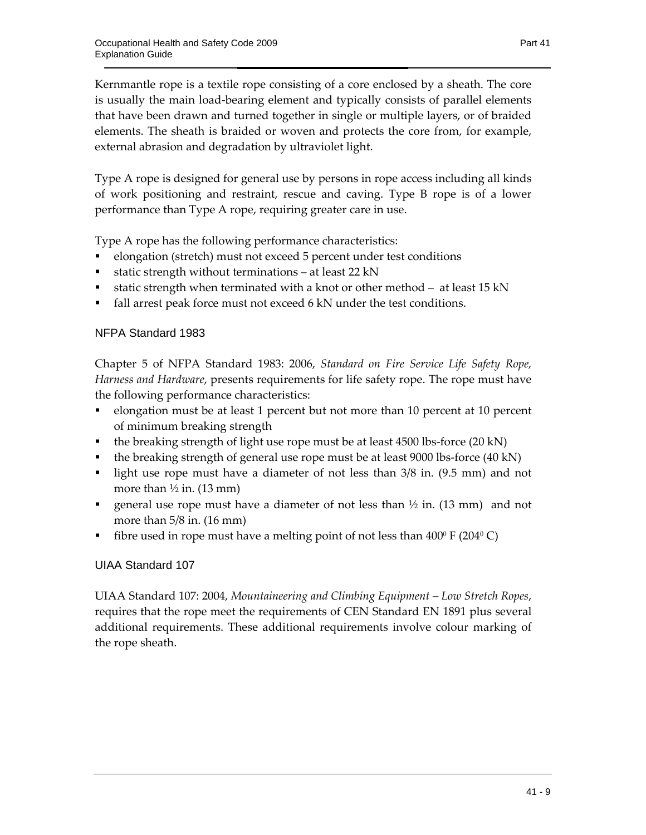Kernmantle rope is a textile rope consisting of a core enclosed by a sheath. The core is usually the main load-bearing element and typically consists of parallel elements that have been drawn and turned together in single or multiple layers, or of braided elements. The sheath is braided or woven and protects the core from, for example, external abrasion and degradation by ultraviolet light.

Type A rope is designed for general use by persons in rope access including all kinds of work positioning and restraint, rescue and caving. Type B rope is of a lower performance than Type A rope, requiring greater care in use.

Type A rope has the following performance characteristics:

- elongation (stretch) must not exceed 5 percent under test conditions
- static strength without terminations at least 22 kN
- **static strength when terminated with a knot or other method at least 15 kN**
- fall arrest peak force must not exceed 6 kN under the test conditions.

#### NFPA Standard 1983

Chapter 5 of NFPA Standard 1983: 2006, *Standard on Fire Service Life Safety Rope, Harness and Hardware*, presents requirements for life safety rope. The rope must have the following performance characteristics:

- elongation must be at least 1 percent but not more than 10 percent at 10 percent of minimum breaking strength
- the breaking strength of light use rope must be at least 4500 lbs-force  $(20 \text{ kN})$
- the breaking strength of general use rope must be at least 9000 lbs-force (40 kN)
- light use rope must have a diameter of not less than  $3/8$  in. (9.5 mm) and not more than  $\frac{1}{2}$  in. (13 mm)
- general use rope must have a diameter of not less than  $\frac{1}{2}$  in. (13 mm) and not more than 5/8 in. (16 mm)
- fibre used in rope must have a melting point of not less than  $400^{\circ}$  F (204 $^{\circ}$ C)

#### UIAA Standard 107

UIAA Standard 107: 2004, *Mountaineering and Climbing Equipment – Low Stretch Ropes*, requires that the rope meet the requirements of CEN Standard EN 1891 plus several additional requirements. These additional requirements involve colour marking of the rope sheath.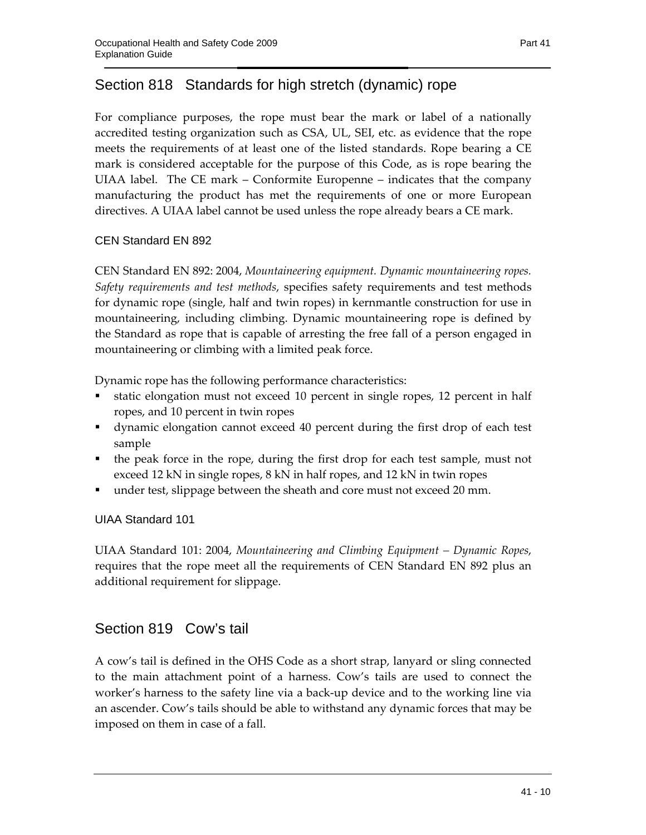## Section 818 Standards for high stretch (dynamic) rope

For compliance purposes, the rope must bear the mark or label of a nationally accredited testing organization such as CSA, UL, SEI, etc. as evidence that the rope meets the requirements of at least one of the listed standards. Rope bearing a CE mark is considered acceptable for the purpose of this Code, as is rope bearing the UIAA label. The CE mark – Conformite Europenne – indicates that the company manufacturing the product has met the requirements of one or more European directives. A UIAA label cannot be used unless the rope already bears a CE mark.

#### CEN Standard EN 892

CEN Standard EN 892: 2004, *Mountaineering equipment. Dynamic mountaineering ropes. Safety requirements and test methods*, specifies safety requirements and test methods for dynamic rope (single, half and twin ropes) in kernmantle construction for use in mountaineering, including climbing. Dynamic mountaineering rope is defined by the Standard as rope that is capable of arresting the free fall of a person engaged in mountaineering or climbing with a limited peak force.

Dynamic rope has the following performance characteristics:

- static elongation must not exceed 10 percent in single ropes, 12 percent in half ropes, and 10 percent in twin ropes
- dynamic elongation cannot exceed 40 percent during the first drop of each test sample
- the peak force in the rope, during the first drop for each test sample, must not exceed 12 kN in single ropes, 8 kN in half ropes, and 12 kN in twin ropes
- under test, slippage between the sheath and core must not exceed 20 mm.

UIAA Standard 101

UIAA Standard 101: 2004, *Mountaineering and Climbing Equipment – Dynamic Ropes*, requires that the rope meet all the requirements of CEN Standard EN 892 plus an additional requirement for slippage.

### Section 819 Cow's tail

A cow's tail is defined in the OHS Code as a short strap, lanyard or sling connected to the main attachment point of a harness. Cow's tails are used to connect the worker's harness to the safety line via a back-up device and to the working line via an ascender. Cow's tails should be able to withstand any dynamic forces that may be imposed on them in case of a fall.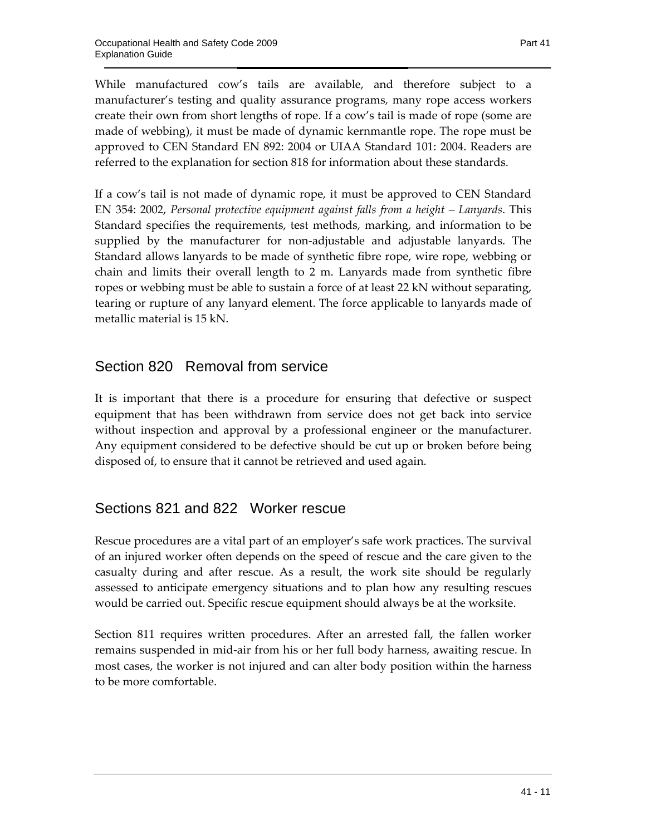While manufactured cow's tails are available, and therefore subject to a manufacturer's testing and quality assurance programs, many rope access workers create their own from short lengths of rope. If a cow's tail is made of rope (some are made of webbing), it must be made of dynamic kernmantle rope. The rope must be approved to CEN Standard EN 892: 2004 or UIAA Standard 101: 2004. Readers are referred to the explanation for section 818 for information about these standards.

If a cow's tail is not made of dynamic rope, it must be approved to CEN Standard EN 354: 2002, *Personal protective equipment against falls from a height – Lanyards*. This Standard specifies the requirements, test methods, marking, and information to be supplied by the manufacturer for non-adjustable and adjustable lanyards. The Standard allows lanyards to be made of synthetic fibre rope, wire rope, webbing or chain and limits their overall length to 2 m. Lanyards made from synthetic fibre ropes or webbing must be able to sustain a force of at least 22 kN without separating, tearing or rupture of any lanyard element. The force applicable to lanyards made of metallic material is 15 kN.

### Section 820 Removal from service

It is important that there is a procedure for ensuring that defective or suspect equipment that has been withdrawn from service does not get back into service without inspection and approval by a professional engineer or the manufacturer. Any equipment considered to be defective should be cut up or broken before being disposed of, to ensure that it cannot be retrieved and used again.

### Sections 821 and 822 Worker rescue

Rescue procedures are a vital part of an employer's safe work practices. The survival of an injured worker often depends on the speed of rescue and the care given to the casualty during and after rescue. As a result, the work site should be regularly assessed to anticipate emergency situations and to plan how any resulting rescues would be carried out. Specific rescue equipment should always be at the worksite.

Section 811 requires written procedures. After an arrested fall, the fallen worker remains suspended in mid-air from his or her full body harness, awaiting rescue. In most cases, the worker is not injured and can alter body position within the harness to be more comfortable.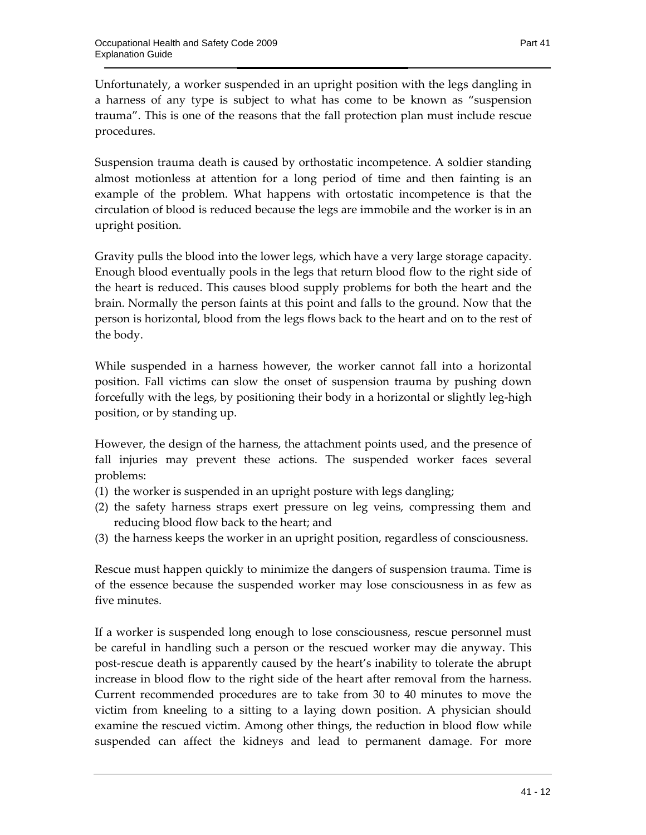Unfortunately, a worker suspended in an upright position with the legs dangling in a harness of any type is subject to what has come to be known as "suspension trauma". This is one of the reasons that the fall protection plan must include rescue procedures.

Suspension trauma death is caused by orthostatic incompetence. A soldier standing almost motionless at attention for a long period of time and then fainting is an example of the problem. What happens with ortostatic incompetence is that the circulation of blood is reduced because the legs are immobile and the worker is in an upright position.

Gravity pulls the blood into the lower legs, which have a very large storage capacity. Enough blood eventually pools in the legs that return blood flow to the right side of the heart is reduced. This causes blood supply problems for both the heart and the brain. Normally the person faints at this point and falls to the ground. Now that the person is horizontal, blood from the legs flows back to the heart and on to the rest of the body.

While suspended in a harness however, the worker cannot fall into a horizontal position. Fall victims can slow the onset of suspension trauma by pushing down forcefully with the legs, by positioning their body in a horizontal or slightly leg-high position, or by standing up.

However, the design of the harness, the attachment points used, and the presence of fall injuries may prevent these actions. The suspended worker faces several problems:

- (1) the worker is suspended in an upright posture with legs dangling;
- (2) the safety harness straps exert pressure on leg veins, compressing them and reducing blood flow back to the heart; and
- (3) the harness keeps the worker in an upright position, regardless of consciousness.

Rescue must happen quickly to minimize the dangers of suspension trauma. Time is of the essence because the suspended worker may lose consciousness in as few as five minutes.

If a worker is suspended long enough to lose consciousness, rescue personnel must be careful in handling such a person or the rescued worker may die anyway. This post-rescue death is apparently caused by the heart's inability to tolerate the abrupt increase in blood flow to the right side of the heart after removal from the harness. Current recommended procedures are to take from 30 to 40 minutes to move the victim from kneeling to a sitting to a laying down position. A physician should examine the rescued victim. Among other things, the reduction in blood flow while suspended can affect the kidneys and lead to permanent damage. For more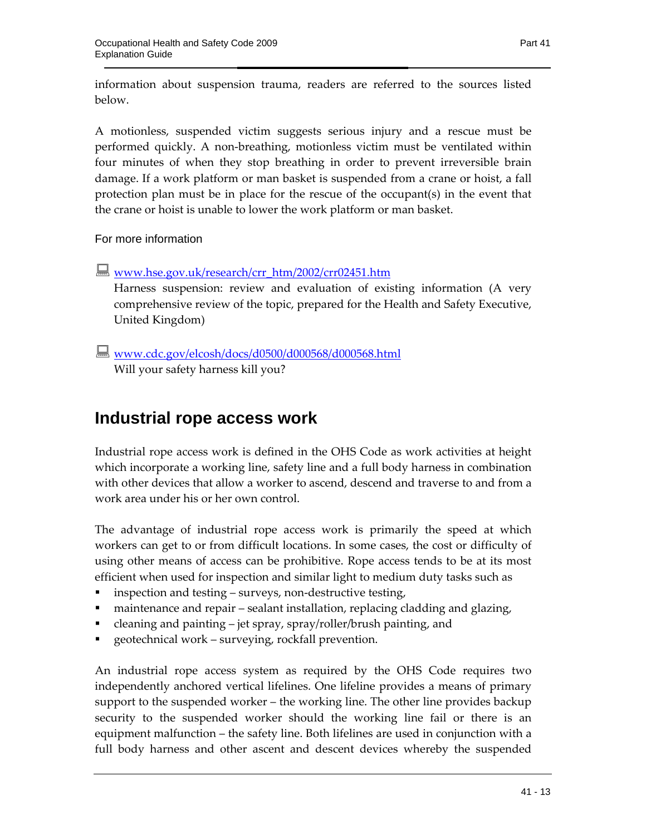information about suspension trauma, readers are referred to the sources listed below.

A motionless, suspended victim suggests serious injury and a rescue must be performed quickly. A non-breathing, motionless victim must be ventilated within four minutes of when they stop breathing in order to prevent irreversible brain damage. If a work platform or man basket is suspended from a crane or hoist, a fall protection plan must be in place for the rescue of the occupant(s) in the event that the crane or hoist is unable to lower the work platform or man basket.

For more information

**WWW.hse.gov.uk/research/crr\_htm/2002/crr02451.htm** 

Harness suspension: review and evaluation of existing information (A very comprehensive review of the topic, prepared for the Health and Safety Executive, United Kingdom)

 www.cdc.gov/elcosh/docs/d0500/d000568/d000568.html Will your safety harness kill you?

# **Industrial rope access work**

Industrial rope access work is defined in the OHS Code as work activities at height which incorporate a working line, safety line and a full body harness in combination with other devices that allow a worker to ascend, descend and traverse to and from a work area under his or her own control.

The advantage of industrial rope access work is primarily the speed at which workers can get to or from difficult locations. In some cases, the cost or difficulty of using other means of access can be prohibitive. Rope access tends to be at its most efficient when used for inspection and similar light to medium duty tasks such as

- inspection and testing surveys, non-destructive testing,
- maintenance and repair sealant installation, replacing cladding and glazing,
- cleaning and painting jet spray, spray/roller/brush painting, and
- geotechnical work surveying, rockfall prevention.

An industrial rope access system as required by the OHS Code requires two independently anchored vertical lifelines. One lifeline provides a means of primary support to the suspended worker – the working line. The other line provides backup security to the suspended worker should the working line fail or there is an equipment malfunction – the safety line. Both lifelines are used in conjunction with a full body harness and other ascent and descent devices whereby the suspended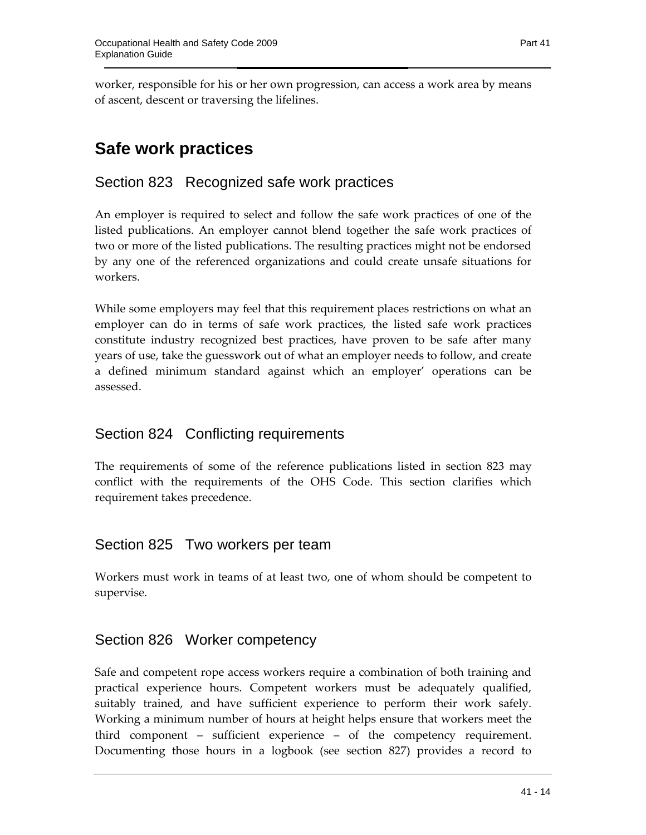worker, responsible for his or her own progression, can access a work area by means of ascent, descent or traversing the lifelines.

# **Safe work practices**

### Section 823 Recognized safe work practices

An employer is required to select and follow the safe work practices of one of the listed publications. An employer cannot blend together the safe work practices of two or more of the listed publications. The resulting practices might not be endorsed by any one of the referenced organizations and could create unsafe situations for workers.

While some employers may feel that this requirement places restrictions on what an employer can do in terms of safe work practices, the listed safe work practices constitute industry recognized best practices, have proven to be safe after many years of use, take the guesswork out of what an employer needs to follow, and create a defined minimum standard against which an employer' operations can be assessed.

### Section 824 Conflicting requirements

The requirements of some of the reference publications listed in section 823 may conflict with the requirements of the OHS Code. This section clarifies which requirement takes precedence.

### Section 825 Two workers per team

Workers must work in teams of at least two, one of whom should be competent to supervise.

### Section 826 Worker competency

Safe and competent rope access workers require a combination of both training and practical experience hours. Competent workers must be adequately qualified, suitably trained, and have sufficient experience to perform their work safely. Working a minimum number of hours at height helps ensure that workers meet the third component – sufficient experience – of the competency requirement. Documenting those hours in a logbook (see section 827) provides a record to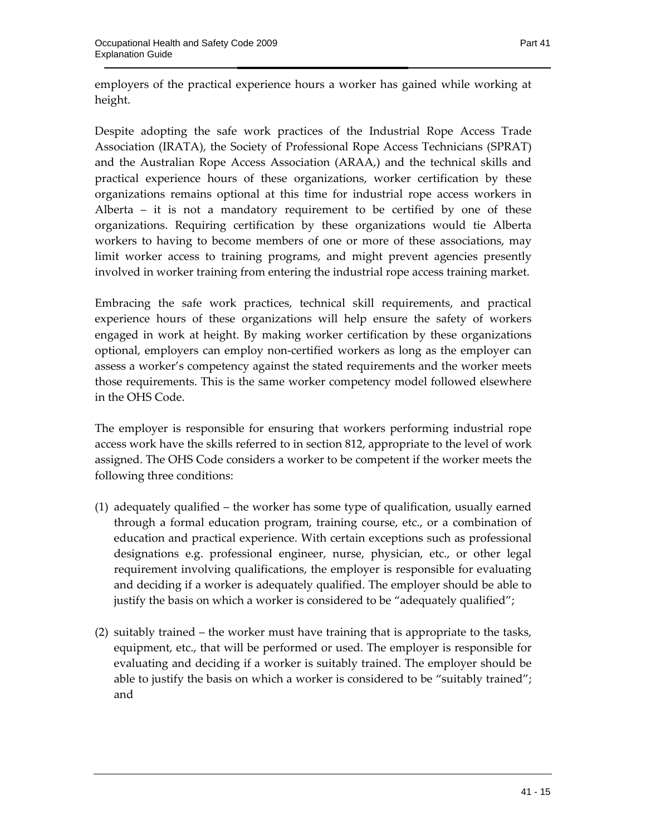employers of the practical experience hours a worker has gained while working at height.

Despite adopting the safe work practices of the Industrial Rope Access Trade Association (IRATA), the Society of Professional Rope Access Technicians (SPRAT) and the Australian Rope Access Association (ARAA,) and the technical skills and practical experience hours of these organizations, worker certification by these organizations remains optional at this time for industrial rope access workers in Alberta  $-$  it is not a mandatory requirement to be certified by one of these organizations. Requiring certification by these organizations would tie Alberta workers to having to become members of one or more of these associations, may limit worker access to training programs, and might prevent agencies presently involved in worker training from entering the industrial rope access training market.

Embracing the safe work practices, technical skill requirements, and practical experience hours of these organizations will help ensure the safety of workers engaged in work at height. By making worker certification by these organizations optional, employers can employ non-certified workers as long as the employer can assess a worker's competency against the stated requirements and the worker meets those requirements. This is the same worker competency model followed elsewhere in the OHS Code.

The employer is responsible for ensuring that workers performing industrial rope access work have the skills referred to in section 812, appropriate to the level of work assigned. The OHS Code considers a worker to be competent if the worker meets the following three conditions:

- (1) adequately qualified the worker has some type of qualification, usually earned through a formal education program, training course, etc., or a combination of education and practical experience. With certain exceptions such as professional designations e.g. professional engineer, nurse, physician, etc., or other legal requirement involving qualifications, the employer is responsible for evaluating and deciding if a worker is adequately qualified. The employer should be able to justify the basis on which a worker is considered to be "adequately qualified";
- (2) suitably trained the worker must have training that is appropriate to the tasks, equipment, etc., that will be performed or used. The employer is responsible for evaluating and deciding if a worker is suitably trained. The employer should be able to justify the basis on which a worker is considered to be "suitably trained"; and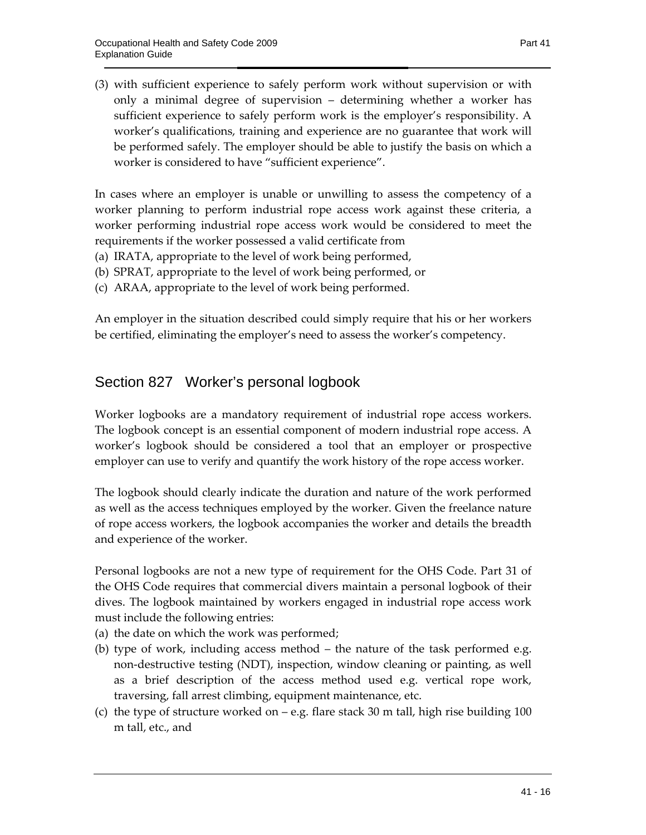(3) with sufficient experience to safely perform work without supervision or with only a minimal degree of supervision – determining whether a worker has sufficient experience to safely perform work is the employer's responsibility. A worker's qualifications, training and experience are no guarantee that work will be performed safely. The employer should be able to justify the basis on which a worker is considered to have "sufficient experience".

In cases where an employer is unable or unwilling to assess the competency of a worker planning to perform industrial rope access work against these criteria, a worker performing industrial rope access work would be considered to meet the requirements if the worker possessed a valid certificate from

- (a) IRATA, appropriate to the level of work being performed,
- (b) SPRAT, appropriate to the level of work being performed, or
- (c) ARAA, appropriate to the level of work being performed.

An employer in the situation described could simply require that his or her workers be certified, eliminating the employer's need to assess the worker's competency.

#### Section 827 Worker's personal logbook

Worker logbooks are a mandatory requirement of industrial rope access workers. The logbook concept is an essential component of modern industrial rope access. A worker's logbook should be considered a tool that an employer or prospective employer can use to verify and quantify the work history of the rope access worker.

The logbook should clearly indicate the duration and nature of the work performed as well as the access techniques employed by the worker. Given the freelance nature of rope access workers, the logbook accompanies the worker and details the breadth and experience of the worker.

Personal logbooks are not a new type of requirement for the OHS Code. Part 31 of the OHS Code requires that commercial divers maintain a personal logbook of their dives. The logbook maintained by workers engaged in industrial rope access work must include the following entries:

- (a) the date on which the work was performed;
- (b) type of work, including access method the nature of the task performed e.g. non-destructive testing (NDT), inspection, window cleaning or painting, as well as a brief description of the access method used e.g. vertical rope work, traversing, fall arrest climbing, equipment maintenance, etc.
- (c) the type of structure worked on e.g. flare stack 30 m tall, high rise building 100 m tall, etc., and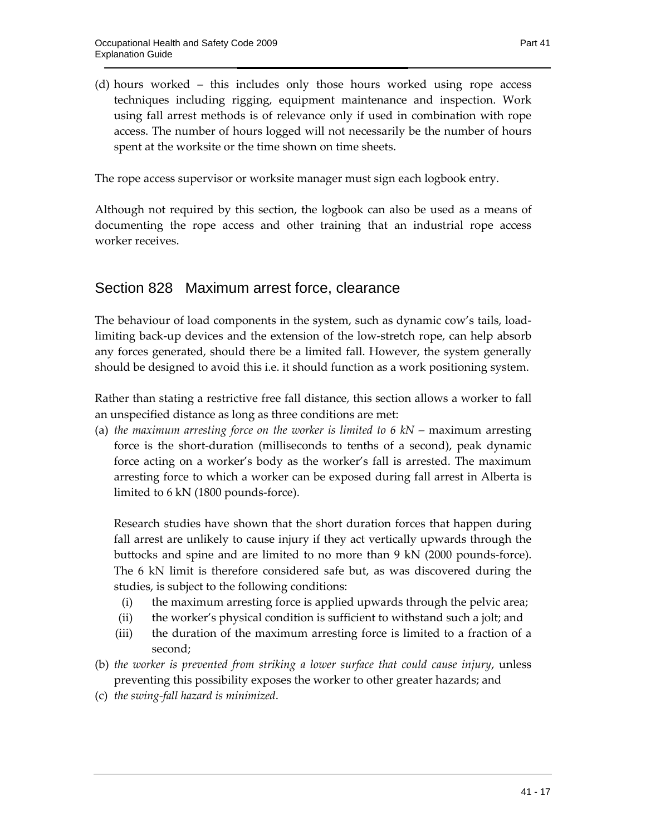(d) hours worked – this includes only those hours worked using rope access techniques including rigging, equipment maintenance and inspection. Work using fall arrest methods is of relevance only if used in combination with rope access. The number of hours logged will not necessarily be the number of hours spent at the worksite or the time shown on time sheets.

The rope access supervisor or worksite manager must sign each logbook entry.

Although not required by this section, the logbook can also be used as a means of documenting the rope access and other training that an industrial rope access worker receives.

#### Section 828 Maximum arrest force, clearance

The behaviour of load components in the system, such as dynamic cow's tails, loadlimiting back-up devices and the extension of the low-stretch rope, can help absorb any forces generated, should there be a limited fall. However, the system generally should be designed to avoid this i.e. it should function as a work positioning system.

Rather than stating a restrictive free fall distance, this section allows a worker to fall an unspecified distance as long as three conditions are met:

(a) *the maximum arresting force on the worker is limited to 6 kN –* maximum arresting force is the short-duration (milliseconds to tenths of a second), peak dynamic force acting on a worker's body as the worker's fall is arrested. The maximum arresting force to which a worker can be exposed during fall arrest in Alberta is limited to 6 kN (1800 pounds-force).

Research studies have shown that the short duration forces that happen during fall arrest are unlikely to cause injury if they act vertically upwards through the buttocks and spine and are limited to no more than 9 kN (2000 pounds-force). The 6 kN limit is therefore considered safe but, as was discovered during the studies, is subject to the following conditions:

- (i) the maximum arresting force is applied upwards through the pelvic area;
- (ii) the worker's physical condition is sufficient to withstand such a jolt; and
- (iii) the duration of the maximum arresting force is limited to a fraction of a second;
- (b) *the worker is prevented from striking a lower surface that could cause injury*, unless preventing this possibility exposes the worker to other greater hazards; and
- (c) *the swing-fall hazard is minimized*.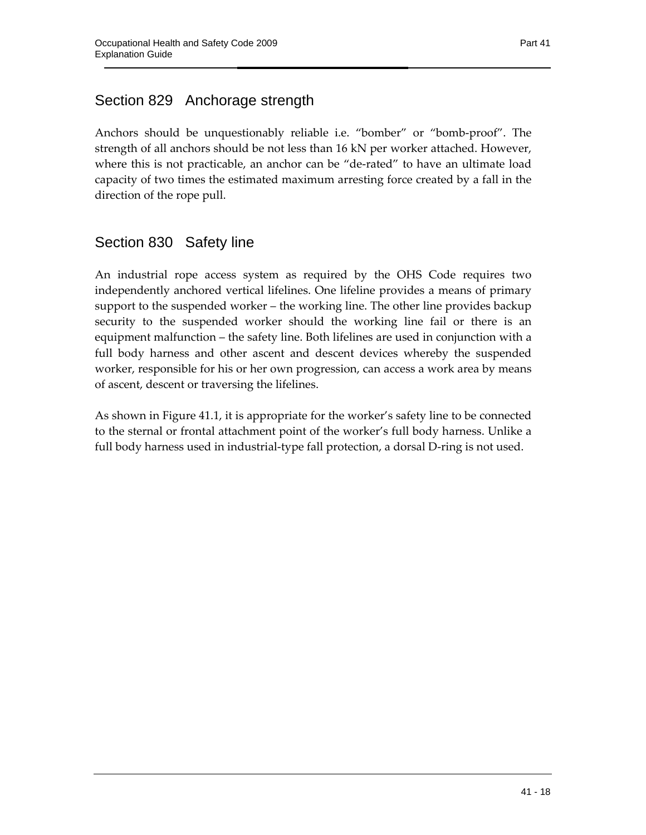Anchors should be unquestionably reliable i.e. "bomber" or "bomb-proof". The strength of all anchors should be not less than 16 kN per worker attached. However, where this is not practicable, an anchor can be "de-rated" to have an ultimate load capacity of two times the estimated maximum arresting force created by a fall in the direction of the rope pull.

### Section 830 Safety line

An industrial rope access system as required by the OHS Code requires two independently anchored vertical lifelines. One lifeline provides a means of primary support to the suspended worker – the working line. The other line provides backup security to the suspended worker should the working line fail or there is an equipment malfunction – the safety line. Both lifelines are used in conjunction with a full body harness and other ascent and descent devices whereby the suspended worker, responsible for his or her own progression, can access a work area by means of ascent, descent or traversing the lifelines.

As shown in Figure 41.1, it is appropriate for the worker's safety line to be connected to the sternal or frontal attachment point of the worker's full body harness. Unlike a full body harness used in industrial-type fall protection, a dorsal D-ring is not used.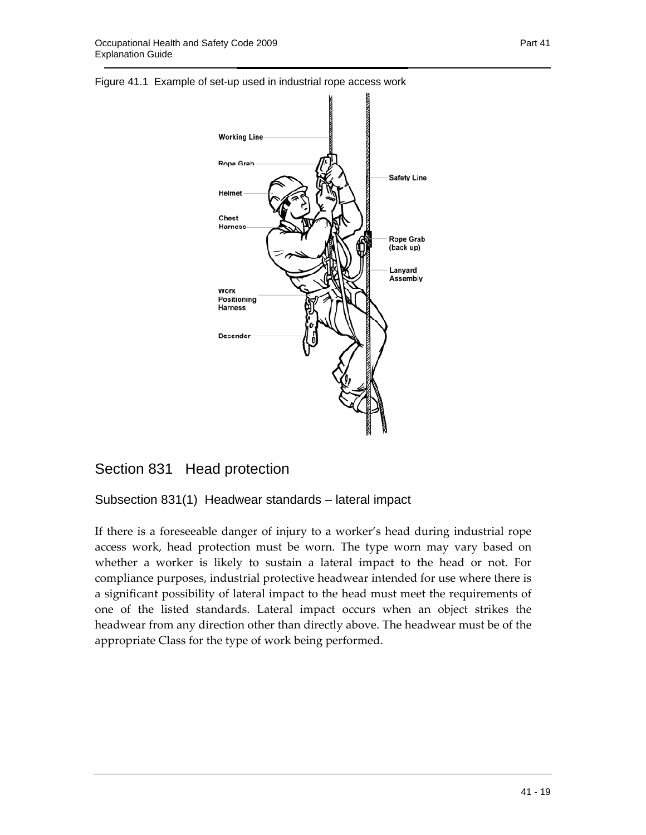



### Section 831 Head protection

Subsection 831(1) Headwear standards – lateral impact

If there is a foreseeable danger of injury to a worker's head during industrial rope access work, head protection must be worn. The type worn may vary based on whether a worker is likely to sustain a lateral impact to the head or not. For compliance purposes, industrial protective headwear intended for use where there is a significant possibility of lateral impact to the head must meet the requirements of one of the listed standards. Lateral impact occurs when an object strikes the headwear from any direction other than directly above. The headwear must be of the appropriate Class for the type of work being performed.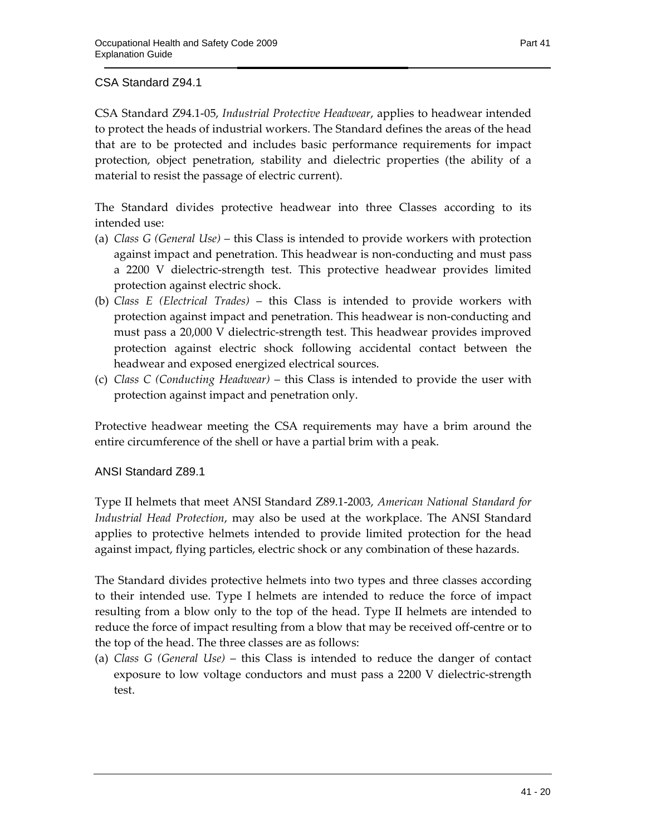CSA Standard Z94.1-05, *Industrial Protective Headwear*, applies to headwear intended to protect the heads of industrial workers. The Standard defines the areas of the head that are to be protected and includes basic performance requirements for impact protection, object penetration, stability and dielectric properties (the ability of a material to resist the passage of electric current).

The Standard divides protective headwear into three Classes according to its intended use:

- (a) *Class G (General Use)* this Class is intended to provide workers with protection against impact and penetration. This headwear is non-conducting and must pass a 2200 V dielectric-strength test. This protective headwear provides limited protection against electric shock.
- (b) *Class E (Electrical Trades)*  this Class is intended to provide workers with protection against impact and penetration. This headwear is non-conducting and must pass a 20,000 V dielectric-strength test. This headwear provides improved protection against electric shock following accidental contact between the headwear and exposed energized electrical sources.
- (c) *Class C (Conducting Headwear)*  this Class is intended to provide the user with protection against impact and penetration only.

Protective headwear meeting the CSA requirements may have a brim around the entire circumference of the shell or have a partial brim with a peak.

#### ANSI Standard Z89.1

Type II helmets that meet ANSI Standard Z89.1-2003, *American National Standard for Industrial Head Protection*, may also be used at the workplace. The ANSI Standard applies to protective helmets intended to provide limited protection for the head against impact, flying particles, electric shock or any combination of these hazards.

The Standard divides protective helmets into two types and three classes according to their intended use. Type I helmets are intended to reduce the force of impact resulting from a blow only to the top of the head. Type II helmets are intended to reduce the force of impact resulting from a blow that may be received off-centre or to the top of the head. The three classes are as follows:

(a) *Class G (General Use)* – this Class is intended to reduce the danger of contact exposure to low voltage conductors and must pass a 2200 V dielectric-strength test.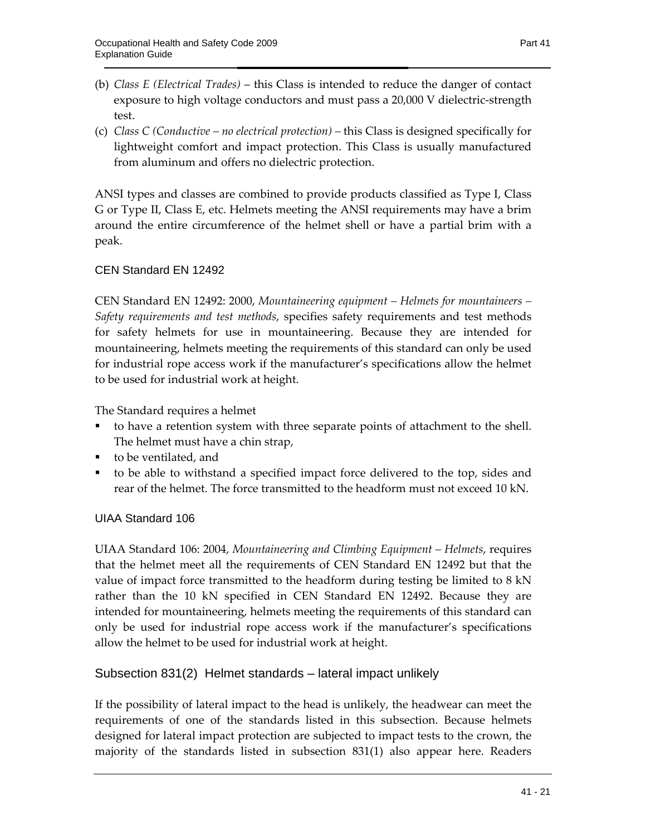- (b) *Class E (Electrical Trades)*  this Class is intended to reduce the danger of contact exposure to high voltage conductors and must pass a 20,000 V dielectric-strength test.
- (c) *Class C (Conductive no electrical protection)* this Class is designed specifically for lightweight comfort and impact protection. This Class is usually manufactured from aluminum and offers no dielectric protection.

ANSI types and classes are combined to provide products classified as Type I, Class G or Type II, Class E, etc. Helmets meeting the ANSI requirements may have a brim around the entire circumference of the helmet shell or have a partial brim with a peak.

#### CEN Standard EN 12492

CEN Standard EN 12492: 2000, *Mountaineering equipment – Helmets for mountaineers – Safety requirements and test methods*, specifies safety requirements and test methods for safety helmets for use in mountaineering. Because they are intended for mountaineering, helmets meeting the requirements of this standard can only be used for industrial rope access work if the manufacturer's specifications allow the helmet to be used for industrial work at height.

The Standard requires a helmet

- to have a retention system with three separate points of attachment to the shell. The helmet must have a chin strap,
- to be ventilated, and
- to be able to withstand a specified impact force delivered to the top, sides and rear of the helmet. The force transmitted to the headform must not exceed 10 kN.

#### UIAA Standard 106

UIAA Standard 106: 2004, *Mountaineering and Climbing Equipment – Helmets*, requires that the helmet meet all the requirements of CEN Standard EN 12492 but that the value of impact force transmitted to the headform during testing be limited to 8 kN rather than the 10 kN specified in CEN Standard EN 12492. Because they are intended for mountaineering, helmets meeting the requirements of this standard can only be used for industrial rope access work if the manufacturer's specifications allow the helmet to be used for industrial work at height.

#### Subsection 831(2) Helmet standards – lateral impact unlikely

If the possibility of lateral impact to the head is unlikely, the headwear can meet the requirements of one of the standards listed in this subsection. Because helmets designed for lateral impact protection are subjected to impact tests to the crown, the majority of the standards listed in subsection 831(1) also appear here. Readers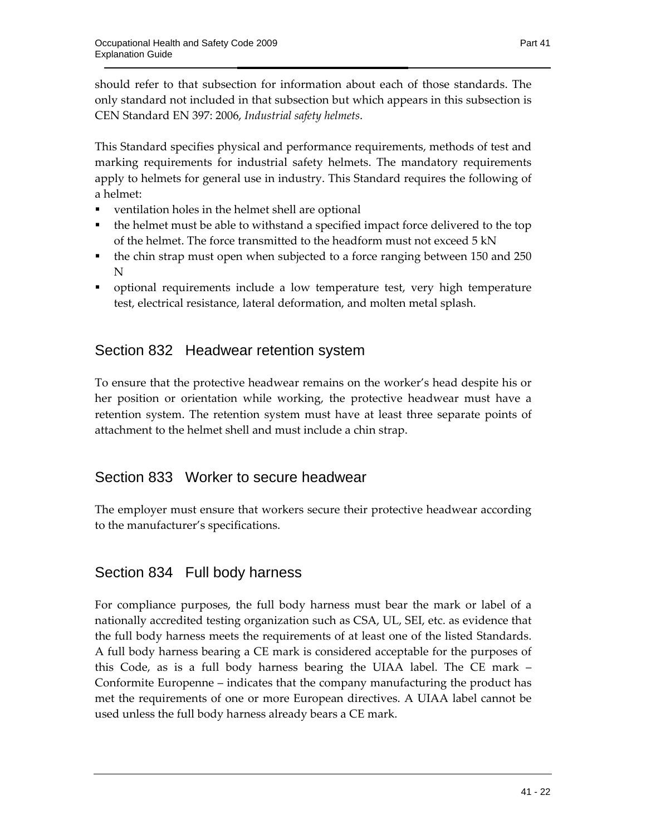should refer to that subsection for information about each of those standards. The only standard not included in that subsection but which appears in this subsection is CEN Standard EN 397: 2006, *Industrial safety helmets*.

This Standard specifies physical and performance requirements, methods of test and marking requirements for industrial safety helmets. The mandatory requirements apply to helmets for general use in industry. This Standard requires the following of a helmet:

- ventilation holes in the helmet shell are optional
- the helmet must be able to withstand a specified impact force delivered to the top of the helmet. The force transmitted to the headform must not exceed 5 kN
- the chin strap must open when subjected to a force ranging between 150 and 250 N
- optional requirements include a low temperature test, very high temperature test, electrical resistance, lateral deformation, and molten metal splash.

### Section 832 Headwear retention system

To ensure that the protective headwear remains on the worker's head despite his or her position or orientation while working, the protective headwear must have a retention system. The retention system must have at least three separate points of attachment to the helmet shell and must include a chin strap.

#### Section 833 Worker to secure headwear

The employer must ensure that workers secure their protective headwear according to the manufacturer's specifications.

### Section 834 Full body harness

For compliance purposes, the full body harness must bear the mark or label of a nationally accredited testing organization such as CSA, UL, SEI, etc. as evidence that the full body harness meets the requirements of at least one of the listed Standards. A full body harness bearing a CE mark is considered acceptable for the purposes of this Code, as is a full body harness bearing the UIAA label. The CE mark – Conformite Europenne – indicates that the company manufacturing the product has met the requirements of one or more European directives. A UIAA label cannot be used unless the full body harness already bears a CE mark.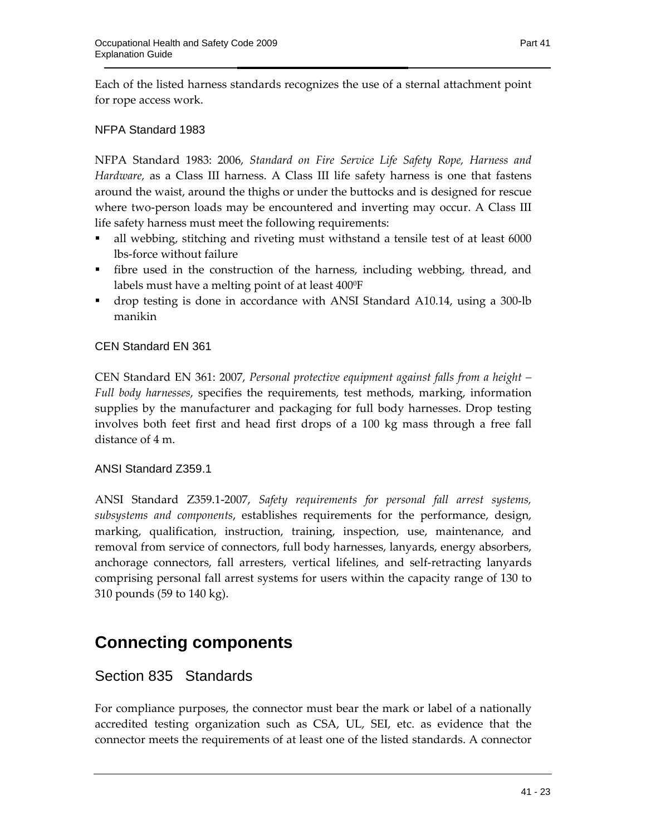Each of the listed harness standards recognizes the use of a sternal attachment point for rope access work.

#### NFPA Standard 1983

NFPA Standard 1983: 2006, *Standard on Fire Service Life Safety Rope, Harness and Hardware,* as a Class III harness. A Class III life safety harness is one that fastens around the waist, around the thighs or under the buttocks and is designed for rescue where two-person loads may be encountered and inverting may occur. A Class III life safety harness must meet the following requirements:

- all webbing, stitching and riveting must withstand a tensile test of at least 6000 lbs-force without failure
- fibre used in the construction of the harness, including webbing, thread, and labels must have a melting point of at least 400°F
- drop testing is done in accordance with ANSI Standard A10.14, using a 300-lb manikin

#### CEN Standard EN 361

CEN Standard EN 361: 2007, *Personal protective equipment against falls from a height – Full body harnesses*, specifies the requirements, test methods, marking, information supplies by the manufacturer and packaging for full body harnesses. Drop testing involves both feet first and head first drops of a 100 kg mass through a free fall distance of 4 m.

#### ANSI Standard Z359.1

ANSI Standard Z359.1-2007, *Safety requirements for personal fall arrest systems, subsystems and components*, establishes requirements for the performance, design, marking, qualification, instruction, training, inspection, use, maintenance, and removal from service of connectors, full body harnesses, lanyards, energy absorbers, anchorage connectors, fall arresters, vertical lifelines, and self-retracting lanyards comprising personal fall arrest systems for users within the capacity range of 130 to 310 pounds (59 to 140 kg).

## **Connecting components**

#### Section 835 Standards

For compliance purposes, the connector must bear the mark or label of a nationally accredited testing organization such as CSA, UL, SEI, etc. as evidence that the connector meets the requirements of at least one of the listed standards. A connector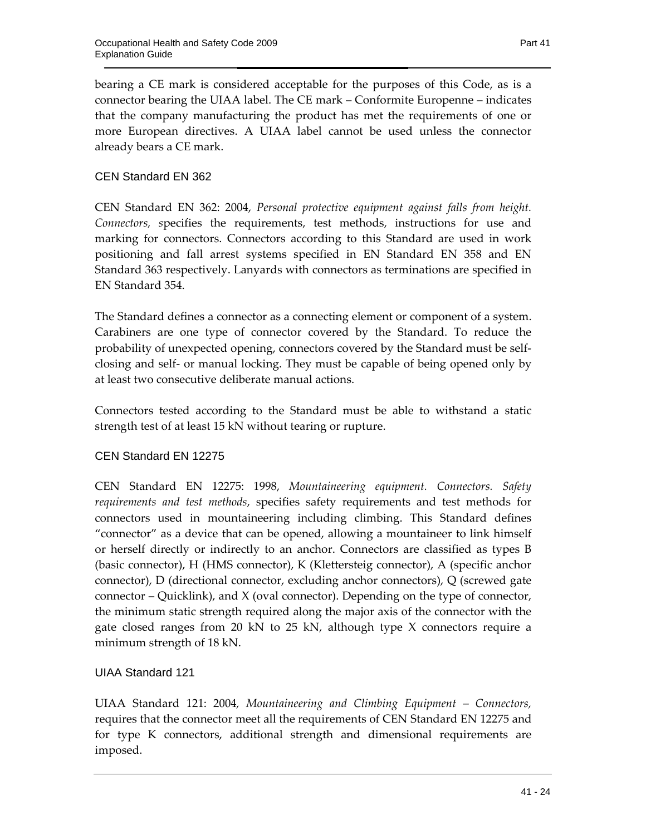bearing a CE mark is considered acceptable for the purposes of this Code, as is a connector bearing the UIAA label. The CE mark – Conformite Europenne – indicates that the company manufacturing the product has met the requirements of one or more European directives. A UIAA label cannot be used unless the connector already bears a CE mark.

#### CEN Standard EN 362

CEN Standard EN 362: 2004, *Personal protective equipment against falls from height. Connectors, s*pecifies the requirements, test methods, instructions for use and marking for connectors. Connectors according to this Standard are used in work positioning and fall arrest systems specified in EN Standard EN 358 and EN Standard 363 respectively. Lanyards with connectors as terminations are specified in EN Standard 354.

The Standard defines a connector as a connecting element or component of a system. Carabiners are one type of connector covered by the Standard. To reduce the probability of unexpected opening, connectors covered by the Standard must be selfclosing and self- or manual locking. They must be capable of being opened only by at least two consecutive deliberate manual actions.

Connectors tested according to the Standard must be able to withstand a static strength test of at least 15 kN without tearing or rupture.

#### CEN Standard EN 12275

CEN Standard EN 12275: 1998, *Mountaineering equipment. Connectors. Safety requirements and test methods*, specifies safety requirements and test methods for connectors used in mountaineering including climbing. This Standard defines "connector" as a device that can be opened, allowing a mountaineer to link himself or herself directly or indirectly to an anchor. Connectors are classified as types B (basic connector), H (HMS connector), K (Klettersteig connector), A (specific anchor connector), D (directional connector, excluding anchor connectors), Q (screwed gate connector  $-$  Quicklink), and  $X$  (oval connector). Depending on the type of connector, the minimum static strength required along the major axis of the connector with the gate closed ranges from 20 kN to 25 kN, although type X connectors require a minimum strength of 18 kN.

#### UIAA Standard 121

UIAA Standard 121: 2004*, Mountaineering and Climbing Equipment – Connectors,* requires that the connector meet all the requirements of CEN Standard EN 12275 and for type K connectors, additional strength and dimensional requirements are imposed.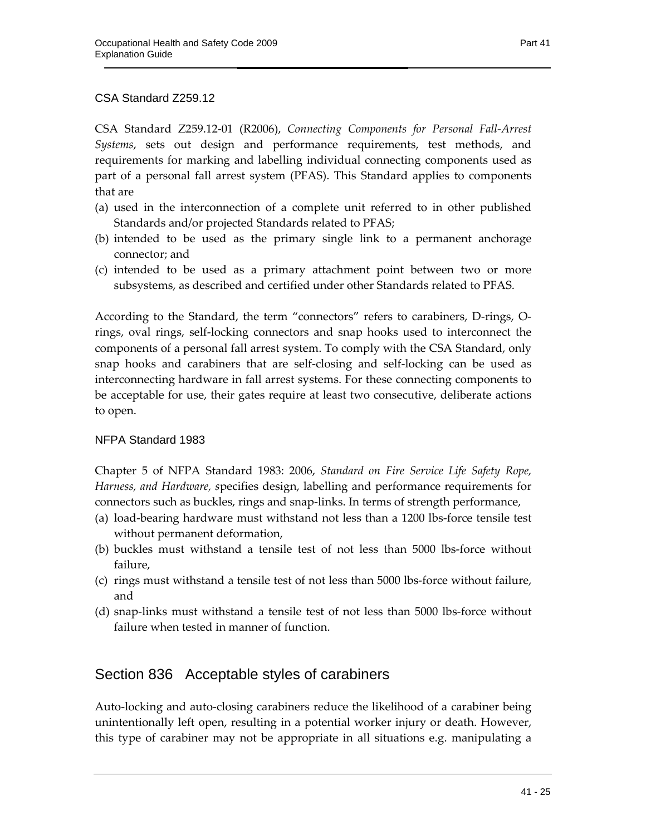#### CSA Standard Z259.12

CSA Standard Z259.12-01 (R2006), *Connecting Components for Personal Fall-Arrest Systems*, sets out design and performance requirements, test methods, and requirements for marking and labelling individual connecting components used as part of a personal fall arrest system (PFAS). This Standard applies to components that are

- (a) used in the interconnection of a complete unit referred to in other published Standards and/or projected Standards related to PFAS;
- (b) intended to be used as the primary single link to a permanent anchorage connector; and
- (c) intended to be used as a primary attachment point between two or more subsystems, as described and certified under other Standards related to PFAS.

According to the Standard, the term "connectors" refers to carabiners, D-rings, Orings, oval rings, self-locking connectors and snap hooks used to interconnect the components of a personal fall arrest system. To comply with the CSA Standard, only snap hooks and carabiners that are self-closing and self-locking can be used as interconnecting hardware in fall arrest systems. For these connecting components to be acceptable for use, their gates require at least two consecutive, deliberate actions to open.

#### NFPA Standard 1983

Chapter 5 of NFPA Standard 1983: 2006, *Standard on Fire Service Life Safety Rope, Harness, and Hardware, s*pecifies design, labelling and performance requirements for connectors such as buckles, rings and snap-links. In terms of strength performance,

- (a) load-bearing hardware must withstand not less than a 1200 lbs-force tensile test without permanent deformation,
- (b) buckles must withstand a tensile test of not less than 5000 lbs-force without failure,
- (c) rings must withstand a tensile test of not less than 5000 lbs-force without failure, and
- (d) snap-links must withstand a tensile test of not less than 5000 lbs-force without failure when tested in manner of function.

#### Section 836 Acceptable styles of carabiners

Auto-locking and auto-closing carabiners reduce the likelihood of a carabiner being unintentionally left open, resulting in a potential worker injury or death. However, this type of carabiner may not be appropriate in all situations e.g. manipulating a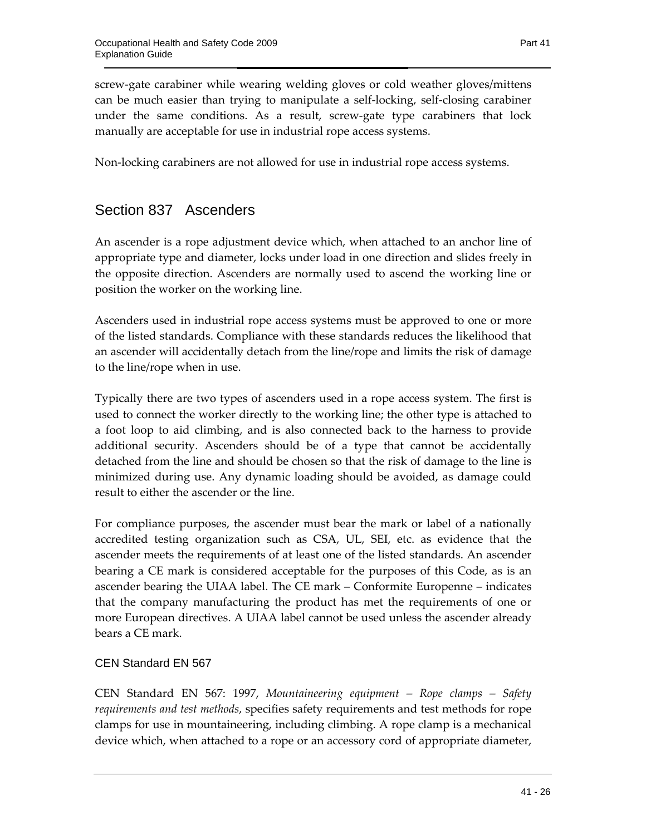screw-gate carabiner while wearing welding gloves or cold weather gloves/mittens can be much easier than trying to manipulate a self-locking, self-closing carabiner under the same conditions. As a result, screw-gate type carabiners that lock manually are acceptable for use in industrial rope access systems.

Non-locking carabiners are not allowed for use in industrial rope access systems.

### Section 837 Ascenders

An ascender is a rope adjustment device which, when attached to an anchor line of appropriate type and diameter, locks under load in one direction and slides freely in the opposite direction. Ascenders are normally used to ascend the working line or position the worker on the working line.

Ascenders used in industrial rope access systems must be approved to one or more of the listed standards. Compliance with these standards reduces the likelihood that an ascender will accidentally detach from the line/rope and limits the risk of damage to the line/rope when in use.

Typically there are two types of ascenders used in a rope access system. The first is used to connect the worker directly to the working line; the other type is attached to a foot loop to aid climbing, and is also connected back to the harness to provide additional security. Ascenders should be of a type that cannot be accidentally detached from the line and should be chosen so that the risk of damage to the line is minimized during use. Any dynamic loading should be avoided, as damage could result to either the ascender or the line.

For compliance purposes, the ascender must bear the mark or label of a nationally accredited testing organization such as CSA, UL, SEI, etc. as evidence that the ascender meets the requirements of at least one of the listed standards. An ascender bearing a CE mark is considered acceptable for the purposes of this Code, as is an ascender bearing the UIAA label. The CE mark – Conformite Europenne – indicates that the company manufacturing the product has met the requirements of one or more European directives. A UIAA label cannot be used unless the ascender already bears a CE mark.

#### CEN Standard EN 567

CEN Standard EN 567: 1997, *Mountaineering equipment – Rope clamps – Safety requirements and test methods*, specifies safety requirements and test methods for rope clamps for use in mountaineering, including climbing. A rope clamp is a mechanical device which, when attached to a rope or an accessory cord of appropriate diameter,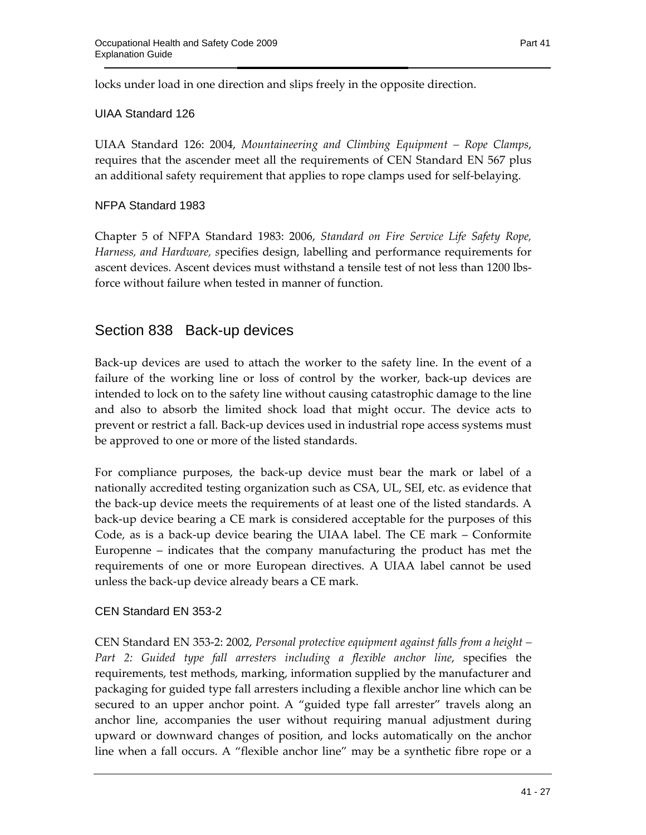locks under load in one direction and slips freely in the opposite direction.

#### UIAA Standard 126

UIAA Standard 126: 2004, *Mountaineering and Climbing Equipment – Rope Clamps*, requires that the ascender meet all the requirements of CEN Standard EN 567 plus an additional safety requirement that applies to rope clamps used for self-belaying.

#### NFPA Standard 1983

Chapter 5 of NFPA Standard 1983: 2006, *Standard on Fire Service Life Safety Rope, Harness, and Hardware, s*pecifies design, labelling and performance requirements for ascent devices. Ascent devices must withstand a tensile test of not less than 1200 lbsforce without failure when tested in manner of function.

#### Section 838 Back-up devices

Back-up devices are used to attach the worker to the safety line. In the event of a failure of the working line or loss of control by the worker, back-up devices are intended to lock on to the safety line without causing catastrophic damage to the line and also to absorb the limited shock load that might occur. The device acts to prevent or restrict a fall. Back-up devices used in industrial rope access systems must be approved to one or more of the listed standards.

For compliance purposes, the back-up device must bear the mark or label of a nationally accredited testing organization such as CSA, UL, SEI, etc. as evidence that the back-up device meets the requirements of at least one of the listed standards. A back-up device bearing a CE mark is considered acceptable for the purposes of this Code, as is a back-up device bearing the UIAA label. The CE mark – Conformite Europenne – indicates that the company manufacturing the product has met the requirements of one or more European directives. A UIAA label cannot be used unless the back-up device already bears a CE mark.

#### CEN Standard EN 353-2

CEN Standard EN 353-2: 2002, *Personal protective equipment against falls from a height – Part 2: Guided type fall arresters including a flexible anchor line*, specifies the requirements, test methods, marking, information supplied by the manufacturer and packaging for guided type fall arresters including a flexible anchor line which can be secured to an upper anchor point. A "guided type fall arrester" travels along an anchor line, accompanies the user without requiring manual adjustment during upward or downward changes of position, and locks automatically on the anchor line when a fall occurs. A "flexible anchor line" may be a synthetic fibre rope or a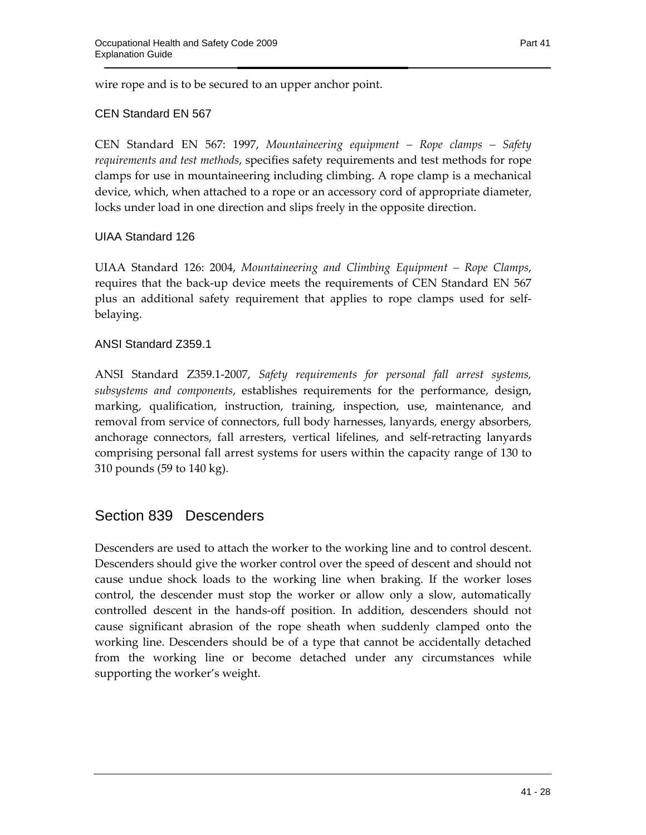wire rope and is to be secured to an upper anchor point.

#### CEN Standard EN 567

CEN Standard EN 567: 1997, *Mountaineering equipment – Rope clamps – Safety requirements and test methods*, specifies safety requirements and test methods for rope clamps for use in mountaineering including climbing. A rope clamp is a mechanical device, which, when attached to a rope or an accessory cord of appropriate diameter, locks under load in one direction and slips freely in the opposite direction.

#### UIAA Standard 126

UIAA Standard 126: 2004, *Mountaineering and Climbing Equipment – Rope Clamps*, requires that the back-up device meets the requirements of CEN Standard EN 567 plus an additional safety requirement that applies to rope clamps used for selfbelaying.

#### ANSI Standard Z359.1

ANSI Standard Z359.1-2007, *Safety requirements for personal fall arrest systems, subsystems and components*, establishes requirements for the performance, design, marking, qualification, instruction, training, inspection, use, maintenance, and removal from service of connectors, full body harnesses, lanyards, energy absorbers, anchorage connectors, fall arresters, vertical lifelines, and self-retracting lanyards comprising personal fall arrest systems for users within the capacity range of 130 to 310 pounds (59 to 140 kg).

#### Section 839 Descenders

Descenders are used to attach the worker to the working line and to control descent. Descenders should give the worker control over the speed of descent and should not cause undue shock loads to the working line when braking. If the worker loses control, the descender must stop the worker or allow only a slow, automatically controlled descent in the hands-off position. In addition, descenders should not cause significant abrasion of the rope sheath when suddenly clamped onto the working line. Descenders should be of a type that cannot be accidentally detached from the working line or become detached under any circumstances while supporting the worker's weight.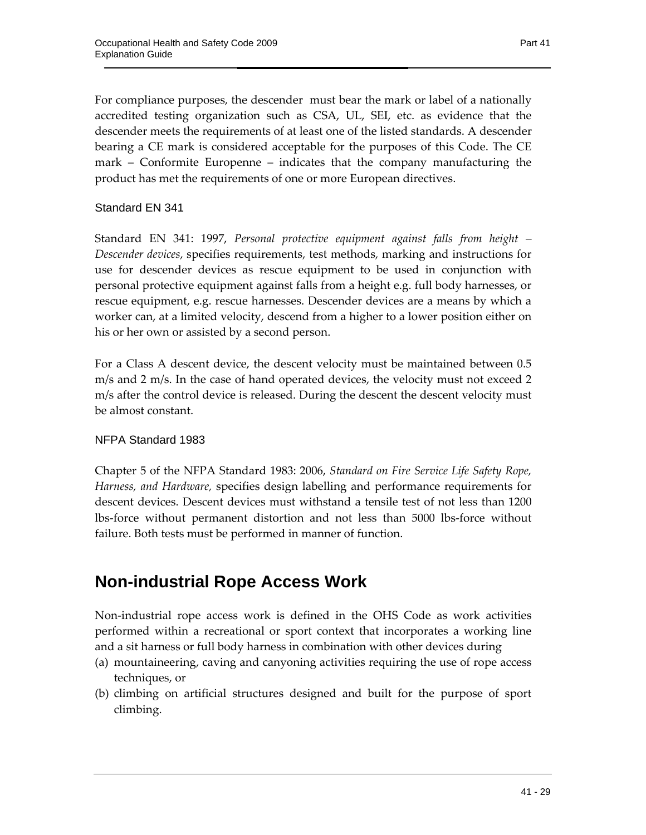For compliance purposes, the descender must bear the mark or label of a nationally accredited testing organization such as CSA, UL, SEI, etc. as evidence that the descender meets the requirements of at least one of the listed standards. A descender bearing a CE mark is considered acceptable for the purposes of this Code. The CE mark – Conformite Europenne – indicates that the company manufacturing the product has met the requirements of one or more European directives.

Standard EN 341

Standard EN 341: 1997, *Personal protective equipment against falls from height – Descender devices*, specifies requirements, test methods, marking and instructions for use for descender devices as rescue equipment to be used in conjunction with personal protective equipment against falls from a height e.g. full body harnesses, or rescue equipment, e.g. rescue harnesses. Descender devices are a means by which a worker can, at a limited velocity, descend from a higher to a lower position either on his or her own or assisted by a second person.

For a Class A descent device, the descent velocity must be maintained between 0.5 m/s and 2 m/s. In the case of hand operated devices, the velocity must not exceed 2 m/s after the control device is released. During the descent the descent velocity must be almost constant.

#### NFPA Standard 1983

Chapter 5 of the NFPA Standard 1983: 2006, *Standard on Fire Service Life Safety Rope, Harness, and Hardware,* specifies design labelling and performance requirements for descent devices. Descent devices must withstand a tensile test of not less than 1200 lbs-force without permanent distortion and not less than 5000 lbs-force without failure. Both tests must be performed in manner of function.

## **Non-industrial Rope Access Work**

Non-industrial rope access work is defined in the OHS Code as work activities performed within a recreational or sport context that incorporates a working line and a sit harness or full body harness in combination with other devices during

- (a) mountaineering, caving and canyoning activities requiring the use of rope access techniques, or
- (b) climbing on artificial structures designed and built for the purpose of sport climbing.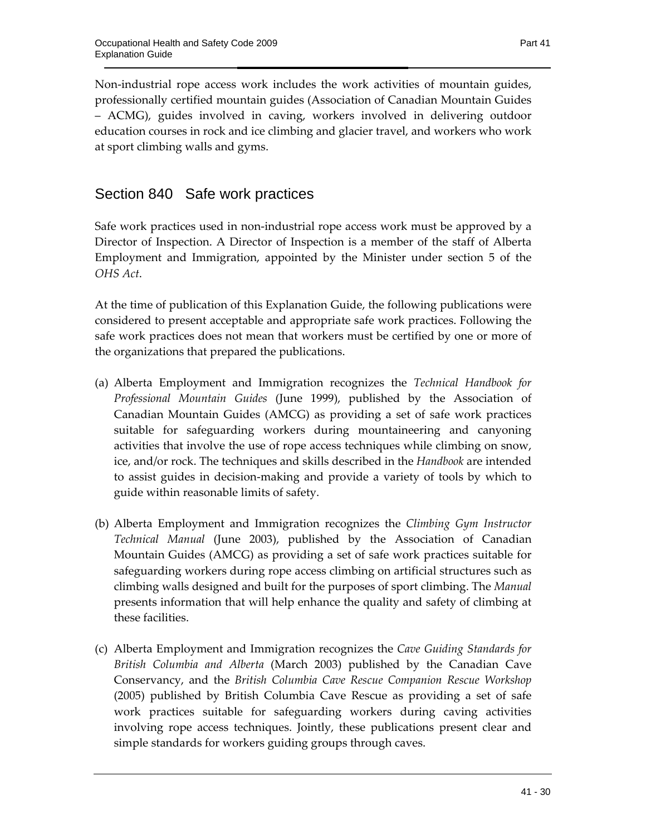Non-industrial rope access work includes the work activities of mountain guides, professionally certified mountain guides (Association of Canadian Mountain Guides – ACMG), guides involved in caving, workers involved in delivering outdoor education courses in rock and ice climbing and glacier travel, and workers who work at sport climbing walls and gyms.

### Section 840 Safe work practices

Safe work practices used in non-industrial rope access work must be approved by a Director of Inspection. A Director of Inspection is a member of the staff of Alberta Employment and Immigration, appointed by the Minister under section 5 of the *OHS Act*.

At the time of publication of this Explanation Guide, the following publications were considered to present acceptable and appropriate safe work practices. Following the safe work practices does not mean that workers must be certified by one or more of the organizations that prepared the publications.

- (a) Alberta Employment and Immigration recognizes the *Technical Handbook for Professional Mountain Guides* (June 1999), published by the Association of Canadian Mountain Guides (AMCG) as providing a set of safe work practices suitable for safeguarding workers during mountaineering and canyoning activities that involve the use of rope access techniques while climbing on snow, ice, and/or rock. The techniques and skills described in the *Handbook* are intended to assist guides in decision-making and provide a variety of tools by which to guide within reasonable limits of safety.
- (b) Alberta Employment and Immigration recognizes the *Climbing Gym Instructor Technical Manual* (June 2003), published by the Association of Canadian Mountain Guides (AMCG) as providing a set of safe work practices suitable for safeguarding workers during rope access climbing on artificial structures such as climbing walls designed and built for the purposes of sport climbing. The *Manual* presents information that will help enhance the quality and safety of climbing at these facilities.
- (c) Alberta Employment and Immigration recognizes the *Cave Guiding Standards for British Columbia and Alberta* (March 2003) published by the Canadian Cave Conservancy, and the *British Columbia Cave Rescue Companion Rescue Workshop* (2005) published by British Columbia Cave Rescue as providing a set of safe work practices suitable for safeguarding workers during caving activities involving rope access techniques. Jointly, these publications present clear and simple standards for workers guiding groups through caves.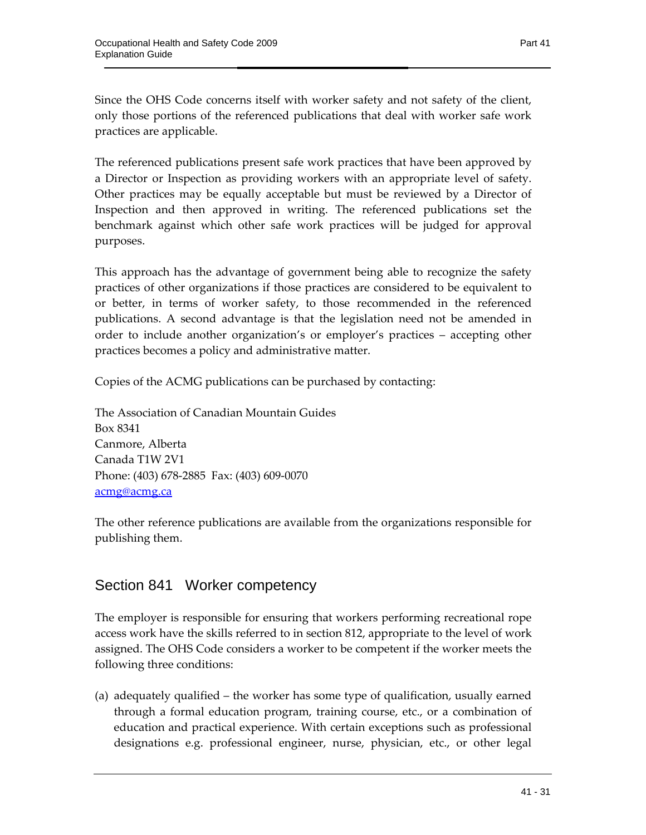Since the OHS Code concerns itself with worker safety and not safety of the client, only those portions of the referenced publications that deal with worker safe work practices are applicable.

The referenced publications present safe work practices that have been approved by a Director or Inspection as providing workers with an appropriate level of safety. Other practices may be equally acceptable but must be reviewed by a Director of Inspection and then approved in writing. The referenced publications set the benchmark against which other safe work practices will be judged for approval purposes.

This approach has the advantage of government being able to recognize the safety practices of other organizations if those practices are considered to be equivalent to or better, in terms of worker safety, to those recommended in the referenced publications. A second advantage is that the legislation need not be amended in order to include another organization's or employer's practices – accepting other practices becomes a policy and administrative matter.

Copies of the ACMG publications can be purchased by contacting:

The Association of Canadian Mountain Guides Box 8341 Canmore, Alberta Canada T1W 2V1 Phone: (403) 678-2885 Fax: (403) 609-0070 acmg@acmg.ca

The other reference publications are available from the organizations responsible for publishing them.

### Section 841 Worker competency

The employer is responsible for ensuring that workers performing recreational rope access work have the skills referred to in section 812, appropriate to the level of work assigned. The OHS Code considers a worker to be competent if the worker meets the following three conditions:

(a) adequately qualified – the worker has some type of qualification, usually earned through a formal education program, training course, etc., or a combination of education and practical experience. With certain exceptions such as professional designations e.g. professional engineer, nurse, physician, etc., or other legal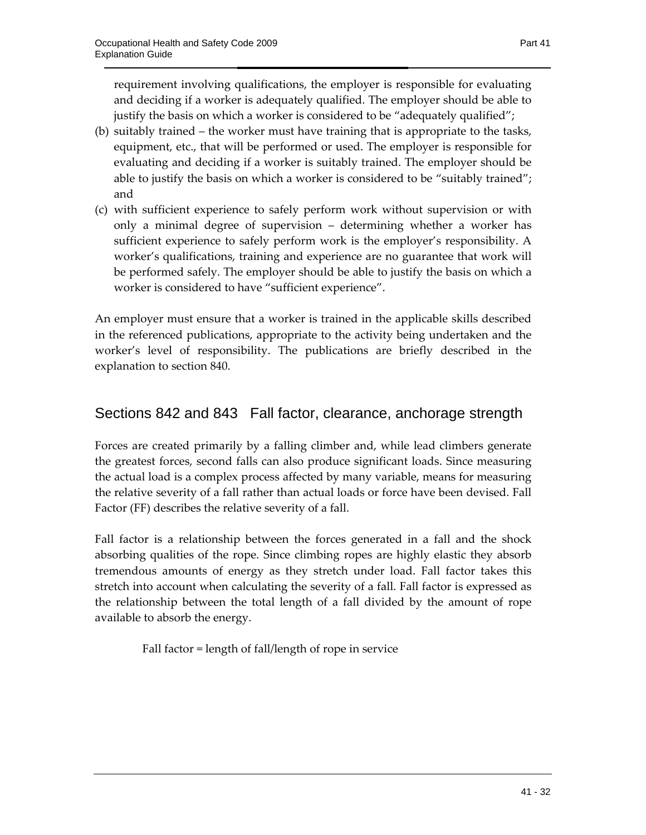requirement involving qualifications, the employer is responsible for evaluating and deciding if a worker is adequately qualified. The employer should be able to justify the basis on which a worker is considered to be "adequately qualified";

- (b) suitably trained the worker must have training that is appropriate to the tasks, equipment, etc., that will be performed or used. The employer is responsible for evaluating and deciding if a worker is suitably trained. The employer should be able to justify the basis on which a worker is considered to be "suitably trained"; and
- (c) with sufficient experience to safely perform work without supervision or with only a minimal degree of supervision – determining whether a worker has sufficient experience to safely perform work is the employer's responsibility. A worker's qualifications, training and experience are no guarantee that work will be performed safely. The employer should be able to justify the basis on which a worker is considered to have "sufficient experience".

An employer must ensure that a worker is trained in the applicable skills described in the referenced publications, appropriate to the activity being undertaken and the worker's level of responsibility. The publications are briefly described in the explanation to section 840.

### Sections 842 and 843 Fall factor, clearance, anchorage strength

Forces are created primarily by a falling climber and, while lead climbers generate the greatest forces, second falls can also produce significant loads. Since measuring the actual load is a complex process affected by many variable, means for measuring the relative severity of a fall rather than actual loads or force have been devised. Fall Factor (FF) describes the relative severity of a fall.

Fall factor is a relationship between the forces generated in a fall and the shock absorbing qualities of the rope. Since climbing ropes are highly elastic they absorb tremendous amounts of energy as they stretch under load. Fall factor takes this stretch into account when calculating the severity of a fall. Fall factor is expressed as the relationship between the total length of a fall divided by the amount of rope available to absorb the energy.

Fall factor = length of fall/length of rope in service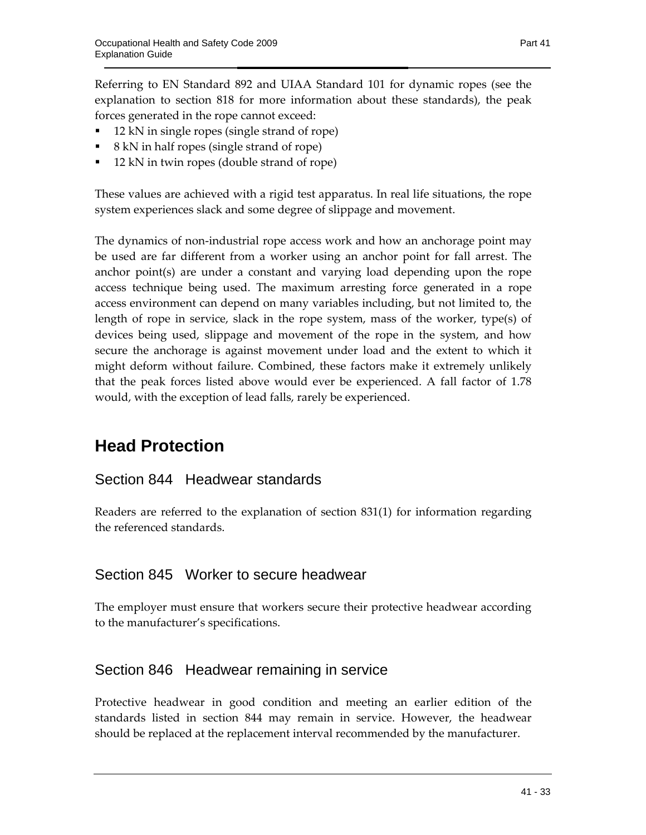Referring to EN Standard 892 and UIAA Standard 101 for dynamic ropes (see the explanation to section 818 for more information about these standards), the peak forces generated in the rope cannot exceed:

- 12 kN in single ropes (single strand of rope)
- $\blacksquare$  8 kN in half ropes (single strand of rope)
- 12 kN in twin ropes (double strand of rope)

These values are achieved with a rigid test apparatus. In real life situations, the rope system experiences slack and some degree of slippage and movement.

The dynamics of non-industrial rope access work and how an anchorage point may be used are far different from a worker using an anchor point for fall arrest. The anchor point(s) are under a constant and varying load depending upon the rope access technique being used. The maximum arresting force generated in a rope access environment can depend on many variables including, but not limited to, the length of rope in service, slack in the rope system, mass of the worker, type(s) of devices being used, slippage and movement of the rope in the system, and how secure the anchorage is against movement under load and the extent to which it might deform without failure. Combined, these factors make it extremely unlikely that the peak forces listed above would ever be experienced. A fall factor of 1.78 would, with the exception of lead falls, rarely be experienced.

# **Head Protection**

### Section 844 Headwear standards

Readers are referred to the explanation of section 831(1) for information regarding the referenced standards.

### Section 845 Worker to secure headwear

The employer must ensure that workers secure their protective headwear according to the manufacturer's specifications.

### Section 846 Headwear remaining in service

Protective headwear in good condition and meeting an earlier edition of the standards listed in section 844 may remain in service. However, the headwear should be replaced at the replacement interval recommended by the manufacturer.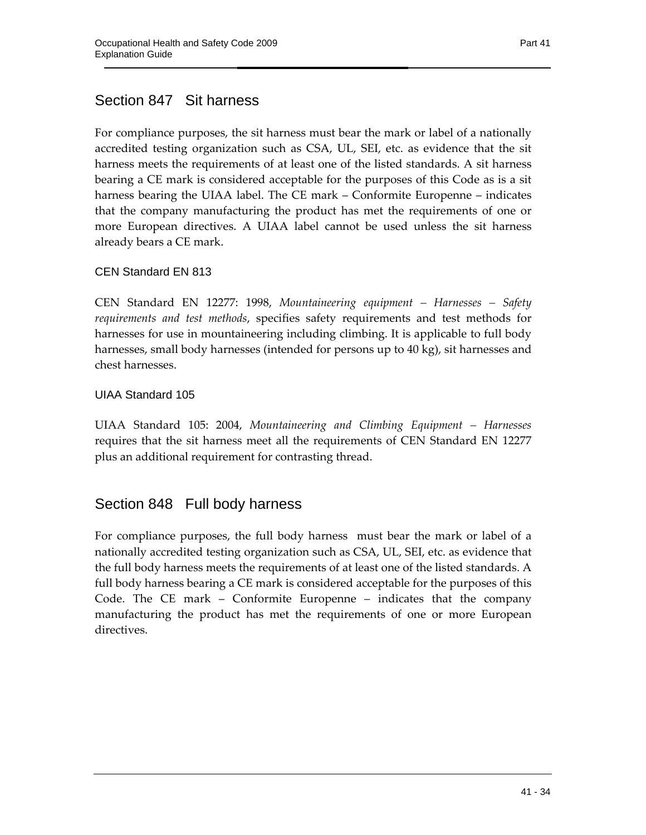For compliance purposes, the sit harness must bear the mark or label of a nationally accredited testing organization such as CSA, UL, SEI, etc. as evidence that the sit harness meets the requirements of at least one of the listed standards. A sit harness bearing a CE mark is considered acceptable for the purposes of this Code as is a sit harness bearing the UIAA label. The CE mark – Conformite Europenne – indicates that the company manufacturing the product has met the requirements of one or more European directives. A UIAA label cannot be used unless the sit harness already bears a CE mark.

#### CEN Standard EN 813

CEN Standard EN 12277: 1998, *Mountaineering equipment – Harnesses – Safety requirements and test methods*, specifies safety requirements and test methods for harnesses for use in mountaineering including climbing. It is applicable to full body harnesses, small body harnesses (intended for persons up to 40 kg), sit harnesses and chest harnesses.

#### UIAA Standard 105

UIAA Standard 105: 2004, *Mountaineering and Climbing Equipment – Harnesses*  requires that the sit harness meet all the requirements of CEN Standard EN 12277 plus an additional requirement for contrasting thread.

### Section 848 Full body harness

For compliance purposes, the full body harness must bear the mark or label of a nationally accredited testing organization such as CSA, UL, SEI, etc. as evidence that the full body harness meets the requirements of at least one of the listed standards. A full body harness bearing a CE mark is considered acceptable for the purposes of this Code. The CE mark – Conformite Europenne – indicates that the company manufacturing the product has met the requirements of one or more European directives.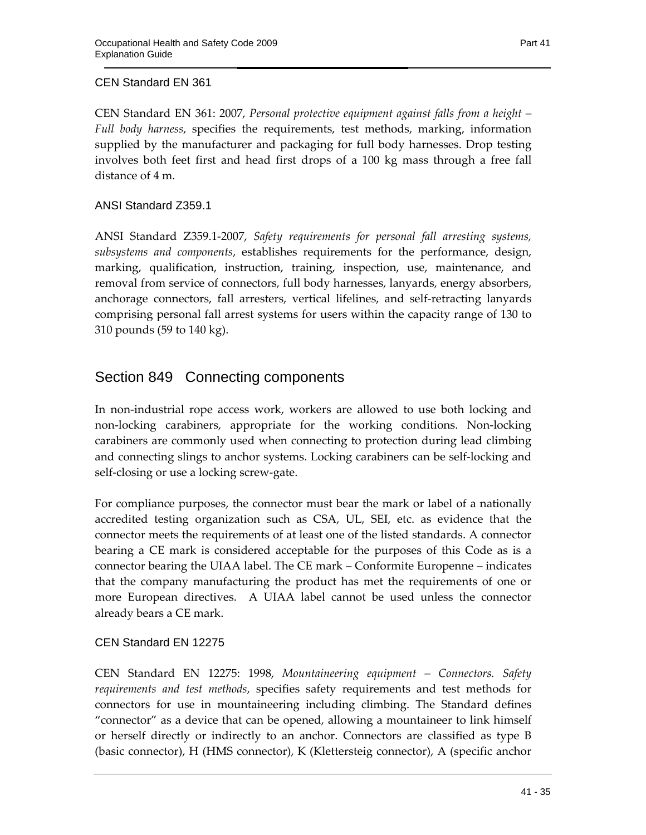#### CEN Standard EN 361

CEN Standard EN 361: 2007, *Personal protective equipment against falls from a height – Full body harness*, specifies the requirements, test methods, marking, information supplied by the manufacturer and packaging for full body harnesses. Drop testing involves both feet first and head first drops of a 100 kg mass through a free fall distance of 4 m.

ANSI Standard Z359.1

ANSI Standard Z359.1-2007, *Safety requirements for personal fall arresting systems, subsystems and components*, establishes requirements for the performance, design, marking, qualification, instruction, training, inspection, use, maintenance, and removal from service of connectors, full body harnesses, lanyards, energy absorbers, anchorage connectors, fall arresters, vertical lifelines, and self-retracting lanyards comprising personal fall arrest systems for users within the capacity range of 130 to 310 pounds (59 to 140 kg).

### Section 849 Connecting components

In non-industrial rope access work, workers are allowed to use both locking and non-locking carabiners, appropriate for the working conditions. Non-locking carabiners are commonly used when connecting to protection during lead climbing and connecting slings to anchor systems. Locking carabiners can be self-locking and self-closing or use a locking screw-gate.

For compliance purposes, the connector must bear the mark or label of a nationally accredited testing organization such as CSA, UL, SEI, etc. as evidence that the connector meets the requirements of at least one of the listed standards. A connector bearing a CE mark is considered acceptable for the purposes of this Code as is a connector bearing the UIAA label. The CE mark – Conformite Europenne – indicates that the company manufacturing the product has met the requirements of one or more European directives. A UIAA label cannot be used unless the connector already bears a CE mark.

#### CEN Standard EN 12275

CEN Standard EN 12275: 1998, *Mountaineering equipment – Connectors. Safety requirements and test methods*, specifies safety requirements and test methods for connectors for use in mountaineering including climbing. The Standard defines "connector" as a device that can be opened, allowing a mountaineer to link himself or herself directly or indirectly to an anchor. Connectors are classified as type B (basic connector), H (HMS connector), K (Klettersteig connector), A (specific anchor